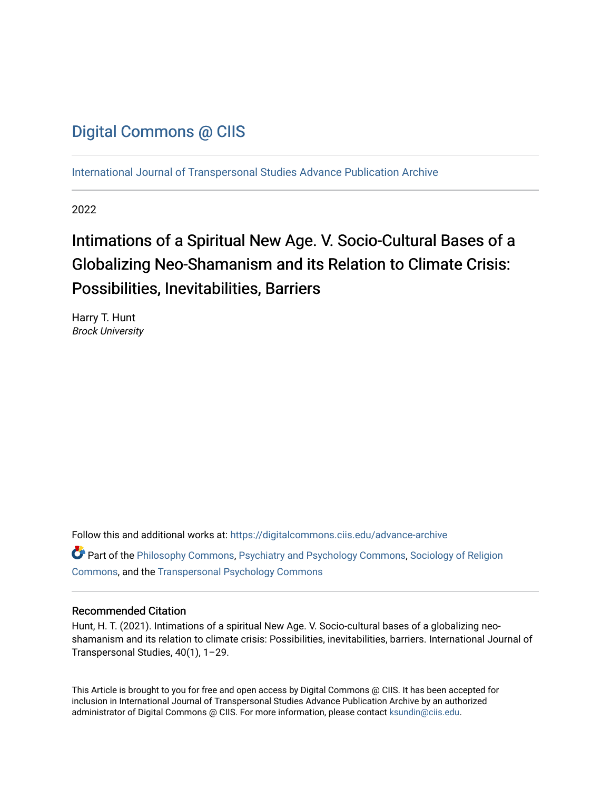# [Digital Commons @ CIIS](https://digitalcommons.ciis.edu/)

[International Journal of Transpersonal Studies Advance Publication Archive](https://digitalcommons.ciis.edu/advance-archive)

2022

# Intimations of a Spiritual New Age. V. Socio-Cultural Bases of a Globalizing Neo-Shamanism and its Relation to Climate Crisis: Possibilities, Inevitabilities, Barriers

Harry T. Hunt Brock University

Follow this and additional works at: [https://digitalcommons.ciis.edu/advance-archive](https://digitalcommons.ciis.edu/advance-archive?utm_source=digitalcommons.ciis.edu%2Fadvance-archive%2F34&utm_medium=PDF&utm_campaign=PDFCoverPages) Part of the [Philosophy Commons,](https://network.bepress.com/hgg/discipline/525?utm_source=digitalcommons.ciis.edu%2Fadvance-archive%2F34&utm_medium=PDF&utm_campaign=PDFCoverPages) [Psychiatry and Psychology Commons,](https://network.bepress.com/hgg/discipline/908?utm_source=digitalcommons.ciis.edu%2Fadvance-archive%2F34&utm_medium=PDF&utm_campaign=PDFCoverPages) [Sociology of Religion](https://network.bepress.com/hgg/discipline/1365?utm_source=digitalcommons.ciis.edu%2Fadvance-archive%2F34&utm_medium=PDF&utm_campaign=PDFCoverPages) [Commons](https://network.bepress.com/hgg/discipline/1365?utm_source=digitalcommons.ciis.edu%2Fadvance-archive%2F34&utm_medium=PDF&utm_campaign=PDFCoverPages), and the [Transpersonal Psychology Commons](https://network.bepress.com/hgg/discipline/1388?utm_source=digitalcommons.ciis.edu%2Fadvance-archive%2F34&utm_medium=PDF&utm_campaign=PDFCoverPages) 

### Recommended Citation

Hunt, H. T. (2021). Intimations of a spiritual New Age. V. Socio-cultural bases of a globalizing neoshamanism and its relation to climate crisis: Possibilities, inevitabilities, barriers. International Journal of Transpersonal Studies, 40(1), 1–29.

This Article is brought to you for free and open access by Digital Commons @ CIIS. It has been accepted for inclusion in International Journal of Transpersonal Studies Advance Publication Archive by an authorized administrator of Digital Commons @ CIIS. For more information, please contact [ksundin@ciis.edu.](mailto:ksundin@ciis.edu)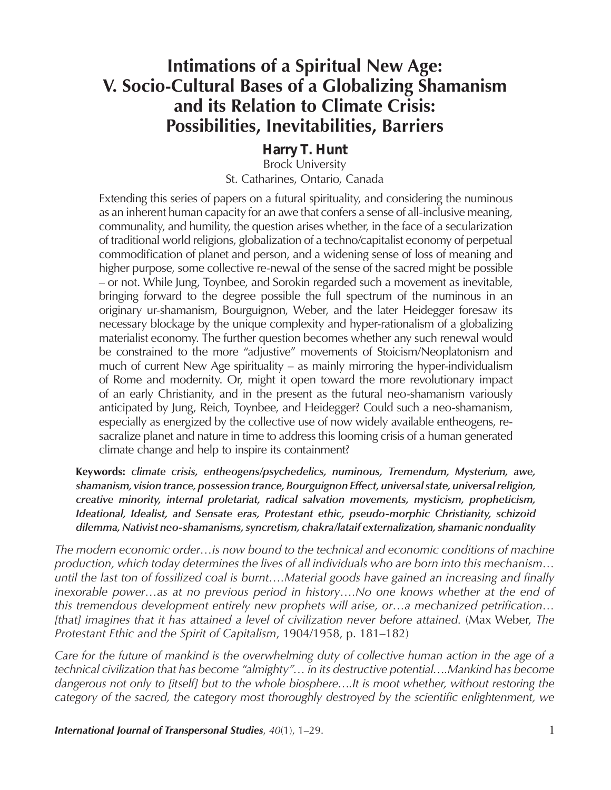# **Intimations of a Spiritual New Age: V. Socio-Cultural Bases of a Globalizing Shamanism and its Relation to Climate Crisis: Possibilities, Inevitabilities, Barriers**

*Harry T. Hunt*  Brock University

St. Catharines, Ontario, Canada

Extending this series of papers on a futural spirituality, and considering the numinous as an inherent human capacity for an awe that confers a sense of all-inclusive meaning, communality, and humility, the question arises whether, in the face of a secularization of traditional world religions, globalization of a techno/capitalist economy of perpetual commodification of planet and person, and a widening sense of loss of meaning and higher purpose, some collective re-newal of the sense of the sacred might be possible – or not. While Jung, Toynbee, and Sorokin regarded such a movement as inevitable, bringing forward to the degree possible the full spectrum of the numinous in an originary ur-shamanism, Bourguignon, Weber, and the later Heidegger foresaw its necessary blockage by the unique complexity and hyper-rationalism of a globalizing materialist economy. The further question becomes whether any such renewal would be constrained to the more "adjustive" movements of Stoicism/Neoplatonism and much of current New Age spirituality – as mainly mirroring the hyper-individualism of Rome and modernity. Or, might it open toward the more revolutionary impact of an early Christianity, and in the present as the futural neo-shamanism variously anticipated by Jung, Reich, Toynbee, and Heidegger? Could such a neo-shamanism, especially as energized by the collective use of now widely available entheogens, resacralize planet and nature in time to address this looming crisis of a human generated climate change and help to inspire its containment?

**Keywords:** *climate crisis, entheogens/psychedelics, numinous, Tremendum, Mysterium, awe, shamanism, vision trance, possession trance, Bourguignon Effect, universal state, universal religion, creative minority, internal proletariat, radical salvation movements, mysticism, propheticism, Ideational, Idealist, and Sensate eras, Protestant ethic, pseudo-morphic Christianity, schizoid dilemma, Nativist neo-shamanisms, syncretism, chakra/lataif externalization, shamanic nonduality*

*The modern economic order…is now bound to the technical and economic conditions of machine production, which today determines the lives of all individuals who are born into this mechanism… until the last ton of fossilized coal is burnt….Material goods have gained an increasing and finally*  inexorable power…as at no previous period in history….No one knows whether at the end of *this tremendous development entirely new prophets will arise, or…a mechanized petrification… [that] imagines that it has attained a level of civilization never before attained.* (Max Weber, *The Protestant Ethic and the Spirit of Capitalism*, 1904/1958, p. 181–182)

*Care for the future of mankind is the overwhelming duty of collective human action in the age of a technical civilization that has become "almighty"… in its destructive potential….Mankind has become dangerous not only to [itself] but to the whole biosphere….It is moot whether, without restoring the category of the sacred, the category most thoroughly destroyed by the scientific enlightenment, we* 

**International Journal of Transpersonal Studies**,  $40(1)$ ,  $1-29$ .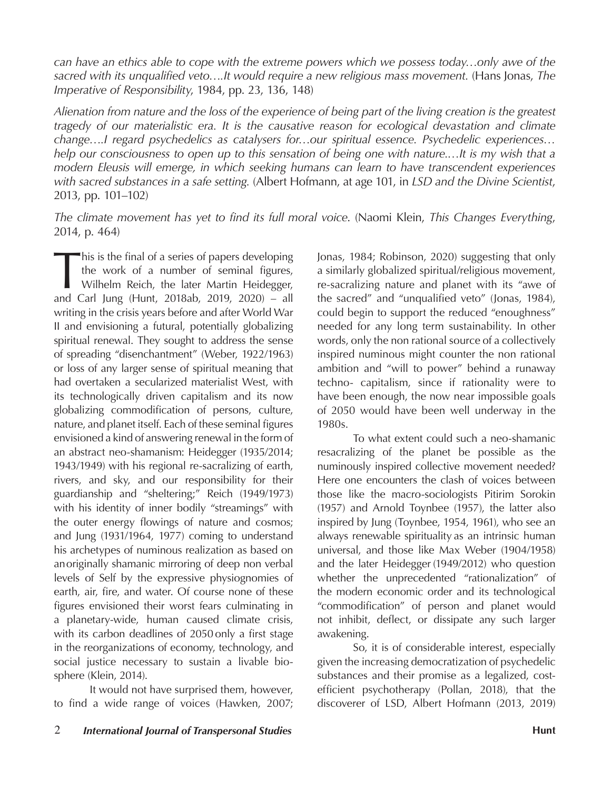*can have an ethics able to cope with the extreme powers which we possess today…only awe of the sacred with its unqualified veto….It would require a new religious mass movement.* (Hans Jonas, *The Imperative of Responsibility*, 1984, pp. 23, 136, 148)

*Alienation from nature and the loss of the experience of being part of the living creation is the greatest tragedy of our materialistic era. It is the causative reason for ecological devastation and climate change….I regard psychedelics as catalysers for…our spiritual essence. Psychedelic experiences… help our consciousness to open up to this sensation of being one with nature.…It is my wish that a modern Eleusis will emerge, in which seeking humans can learn to have transcendent experiences with sacred substances in a safe setting.* (Albert Hofmann, at age 101, in *LSD and the Divine Scientist*, 2013, pp. 101–102)

*The climate movement has yet to find its full moral voice*. (Naomi Klein, *This Changes Everything*, 2014, p. 464)

This is the final of a series of papers developing<br>the work of a number of seminal figures,<br>Wilhelm Reich, the later Martin Heidegger,<br>and Carl Jung (Hunt, 2018ab, 2019, 2020) the work of a number of seminal figures, Wilhelm Reich, the later Martin Heidegger, and Carl Jung (Hunt, 2018ab, 2019, 2020) – all writing in the crisis years before and after World War II and envisioning a futural, potentially globalizing spiritual renewal. They sought to address the sense of spreading "disenchantment" (Weber, 1922/1963) or loss of any larger sense of spiritual meaning that had overtaken a secularized materialist West, with its technologically driven capitalism and its now globalizing commodification of persons, culture, nature, and planet itself. Each of these seminal figures envisioned a kind of answering renewal in the form of an abstract neo-shamanism: Heidegger (1935/2014; 1943/1949) with his regional re-sacralizing of earth, rivers, and sky, and our responsibility for their guardianship and "sheltering;" Reich (1949/1973) with his identity of inner bodily "streamings" with the outer energy flowings of nature and cosmos; and Jung (1931/1964, 1977) coming to understand his archetypes of numinous realization as based on an originally shamanic mirroring of deep non verbal levels of Self by the expressive physiognomies of earth, air, fire, and water. Of course none of these figures envisioned their worst fears culminating in a planetary-wide, human caused climate crisis, with its carbon deadlines of 2050 only a first stage in the reorganizations of economy, technology, and social justice necessary to sustain a livable biosphere (Klein, 2014).

It would not have surprised them, however, to find a wide range of voices (Hawken, 2007; Jonas, 1984; Robinson, 2020) suggesting that only a similarly globalized spiritual/religious movement, re-sacralizing nature and planet with its "awe of the sacred" and "unqualified veto" (Jonas, 1984), could begin to support the reduced "enoughness" needed for any long term sustainability. In other words, only the non rational source of a collectively inspired numinous might counter the non rational ambition and "will to power" behind a runaway techno- capitalism, since if rationality were to have been enough, the now near impossible goals of 2050 would have been well underway in the 1980s.

To what extent could such a neo-shamanic resacralizing of the planet be possible as the numinously inspired collective movement needed? Here one encounters the clash of voices between those like the macro-sociologists Pitirim Sorokin (1957) and Arnold Toynbee (1957), the latter also inspired by Jung (Toynbee, 1954, 1961), who see an always renewable spirituality as an intrinsic human universal, and those like Max Weber (1904/1958) and the later Heidegger (1949/2012) who question whether the unprecedented "rationalization" of the modern economic order and its technological "commodification" of person and planet would not inhibit, deflect, or dissipate any such larger awakening.

So, it is of considerable interest, especially given the increasing democratization of psychedelic substances and their promise as a legalized, costefficient psychotherapy (Pollan, 2018), that the discoverer of LSD, Albert Hofmann (2013, 2019)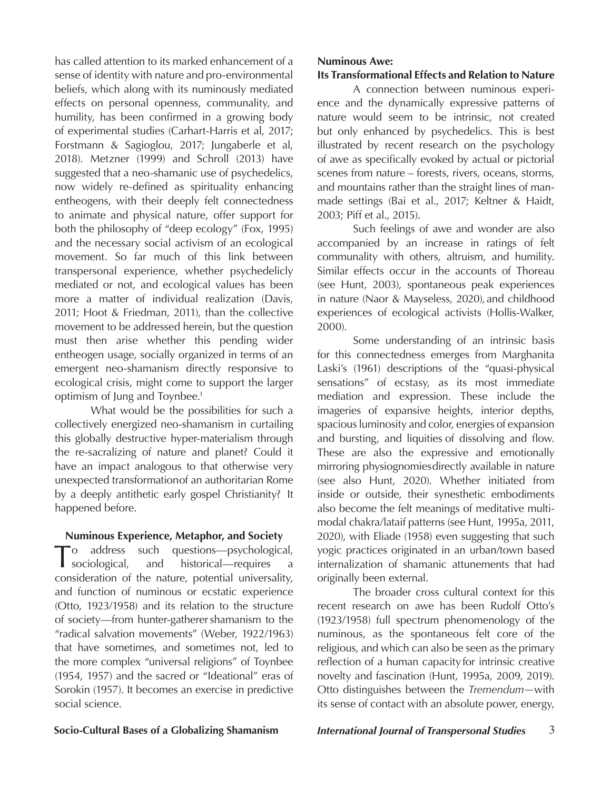has called attention to its marked enhancement of a sense of identity with nature and pro-environmental beliefs, which along with its numinously mediated effects on personal openness, communality, and humility, has been confirmed in a growing body of experimental studies (Carhart-Harris et al, 2017; Forstmann & Sagioglou, 2017; Jungaberle et al, 2018). Metzner (1999) and Schroll (2013) have suggested that a neo-shamanic use of psychedelics, now widely re-defined as spirituality enhancing entheogens, with their deeply felt connectedness to animate and physical nature, offer support for both the philosophy of "deep ecology" (Fox, 1995) and the necessary social activism of an ecological movement. So far much of this link between transpersonal experience, whether psychedelicly mediated or not, and ecological values has been more a matter of individual realization (Davis, 2011; Hoot & Friedman, 2011), than the collective movement to be addressed herein, but the question must then arise whether this pending wider entheogen usage, socially organized in terms of an emergent neo-shamanism directly responsive to ecological crisis, might come to support the larger optimism of Jung and Toynbee.<sup>1</sup>

What would be the possibilities for such a collectively energized neo-shamanism in curtailing this globally destructive hyper-materialism through the re-sacralizing of nature and planet? Could it have an impact analogous to that otherwise very unexpected transformation of an authoritarian Rome by a deeply antithetic early gospel Christianity? It happened before.

### **Numinous Experience, Metaphor, and Society**

To address such questions—psychological,<br>
sociological, and historical—requires a historical—requires consideration of the nature, potential universality, and function of numinous or ecstatic experience (Otto, 1923/1958) and its relation to the structure of society—from hunter-gatherer shamanism to the "radical salvation movements" (Weber, 1922/1963) that have sometimes, and sometimes not, led to the more complex "universal religions" of Toynbee (1954, 1957) and the sacred or "Ideational" eras of Sorokin (1957). It becomes an exercise in predictive social science.

### **Numinous Awe:**

# **Its Transformational Effects and Relation to Nature**

A connection between numinous experience and the dynamically expressive patterns of nature would seem to be intrinsic, not created but only enhanced by psychedelics. This is best illustrated by recent research on the psychology of awe as specifically evoked by actual or pictorial scenes from nature – forests, rivers, oceans, storms, and mountains rather than the straight lines of manmade settings (Bai et al., 2017; Keltner & Haidt, 2003; Piff et al., 2015).

Such feelings of awe and wonder are also accompanied by an increase in ratings of felt communality with others, altruism, and humility. Similar effects occur in the accounts of Thoreau (see Hunt, 2003), spontaneous peak experiences in nature (Naor & Mayseless, 2020), and childhood experiences of ecological activists (Hollis-Walker, 2000).

Some understanding of an intrinsic basis for this connectedness emerges from Marghanita Laski's (1961) descriptions of the "quasi-physical sensations" of ecstasy, as its most immediate mediation and expression. These include the imageries of expansive heights, interior depths, spacious luminosity and color, energies of expansion and bursting, and liquities of dissolving and flow. These are also the expressive and emotionally mirroring physiognomies directly available in nature (see also Hunt, 2020). Whether initiated from inside or outside, their synesthetic embodiments also become the felt meanings of meditative multimodal chakra/lataif patterns (see Hunt, 1995a, 2011, 2020), with Eliade (1958) even suggesting that such yogic practices originated in an urban/town based internalization of shamanic attunements that had originally been external.

The broader cross cultural context for this recent research on awe has been Rudolf Otto's (1923/1958) full spectrum phenomenology of the numinous, as the spontaneous felt core of the religious, and which can also be seen as the primary reflection of a human capacity for intrinsic creative novelty and fascination (Hunt, 1995a, 2009, 2019). Otto distinguishes between the *Tremendum—*with its sense of contact with an absolute power, energy,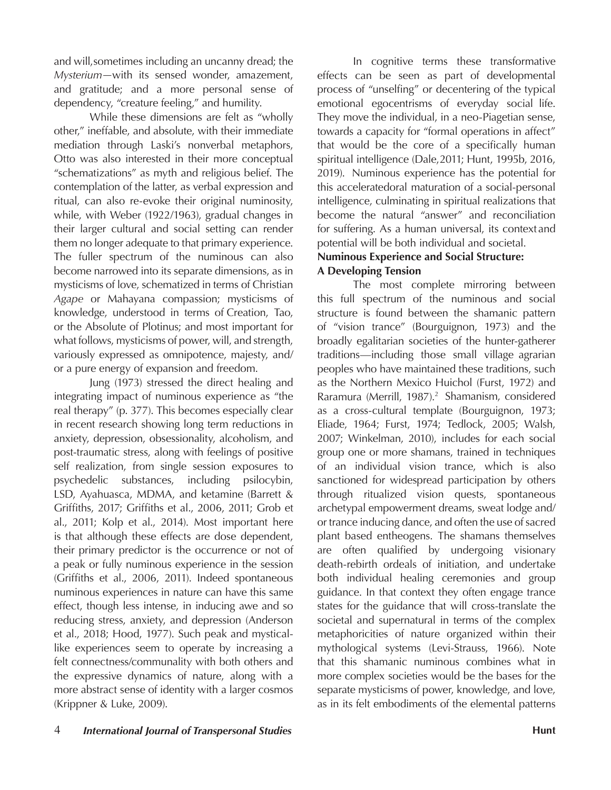and will, sometimes including an uncanny dread; the *Mysterium—*with its sensed wonder, amazement, and gratitude; and a more personal sense of dependency, "creature feeling," and humility.

While these dimensions are felt as "wholly other," ineffable, and absolute, with their immediate mediation through Laski's nonverbal metaphors, Otto was also interested in their more conceptual "schematizations" as myth and religious belief. The contemplation of the latter, as verbal expression and ritual, can also re-evoke their original numinosity, while, with Weber (1922/1963), gradual changes in their larger cultural and social setting can render them no longer adequate to that primary experience. The fuller spectrum of the numinous can also become narrowed into its separate dimensions, as in mysticisms of love, schematized in terms of Christian *Agape* or Mahayana compassion; mysticisms of knowledge, understood in terms of Creation, Tao, or the Absolute of Plotinus; and most important for what follows, mysticisms of power, will, and strength, variously expressed as omnipotence, majesty, and/ or a pure energy of expansion and freedom.

Jung (1973) stressed the direct healing and integrating impact of numinous experience as "the real therapy" (p. 377). This becomes especially clear in recent research showing long term reductions in anxiety, depression, obsessionality, alcoholism, and post-traumatic stress, along with feelings of positive self realization, from single session exposures to psychedelic substances, including psilocybin, LSD, Ayahuasca, MDMA, and ketamine (Barrett & Griffiths, 2017; Griffiths et al., 2006, 2011; Grob et al., 2011; Kolp et al., 2014). Most important here is that although these effects are dose dependent, their primary predictor is the occurrence or not of a peak or fully numinous experience in the session (Griffiths et al., 2006, 2011). Indeed spontaneous numinous experiences in nature can have this same effect, though less intense, in inducing awe and so reducing stress, anxiety, and depression (Anderson et al., 2018; Hood, 1977). Such peak and mysticallike experiences seem to operate by increasing a felt connectness/communality with both others and the expressive dynamics of nature, along with a more abstract sense of identity with a larger cosmos (Krippner & Luke, 2009).

In cognitive terms these transformative effects can be seen as part of developmental process of "unselfing" or decentering of the typical emotional egocentrisms of everyday social life. They move the individual, in a neo-Piagetian sense, towards a capacity for "formal operations in affect" that would be the core of a specifically human spiritual intelligence (Dale, 2011; Hunt, 1995b, 2016, 2019). Numinous experience has the potential for this acceleratedoral maturation of a social-personal intelligence, culminating in spiritual realizations that become the natural "answer" and reconciliation for suffering. As a human universal, its context and potential will be both individual and societal.

# **Numinous Experience and Social Structure: A Developing Tension**

The most complete mirroring between this full spectrum of the numinous and social structure is found between the shamanic pattern of "vision trance" (Bourguignon, 1973) and the broadly egalitarian societies of the hunter-gatherer traditions—including those small village agrarian peoples who have maintained these traditions, such as the Northern Mexico Huichol (Furst, 1972) and Raramura (Merrill, 1987).<sup>2</sup> Shamanism, considered as a cross-cultural template (Bourguignon, 1973; Eliade, 1964; Furst, 1974; Tedlock, 2005; Walsh, 2007; Winkelman, 2010), includes for each social group one or more shamans, trained in techniques of an individual vision trance, which is also sanctioned for widespread participation by others through ritualized vision quests, spontaneous archetypal empowerment dreams, sweat lodge and/ or trance inducing dance, and often the use of sacred plant based entheogens. The shamans themselves are often qualified by undergoing visionary death-rebirth ordeals of initiation, and undertake both individual healing ceremonies and group guidance. In that context they often engage trance states for the guidance that will cross-translate the societal and supernatural in terms of the complex metaphoricities of nature organized within their mythological systems (Levi-Strauss, 1966). Note that this shamanic numinous combines what in more complex societies would be the bases for the separate mysticisms of power, knowledge, and love, as in its felt embodiments of the elemental patterns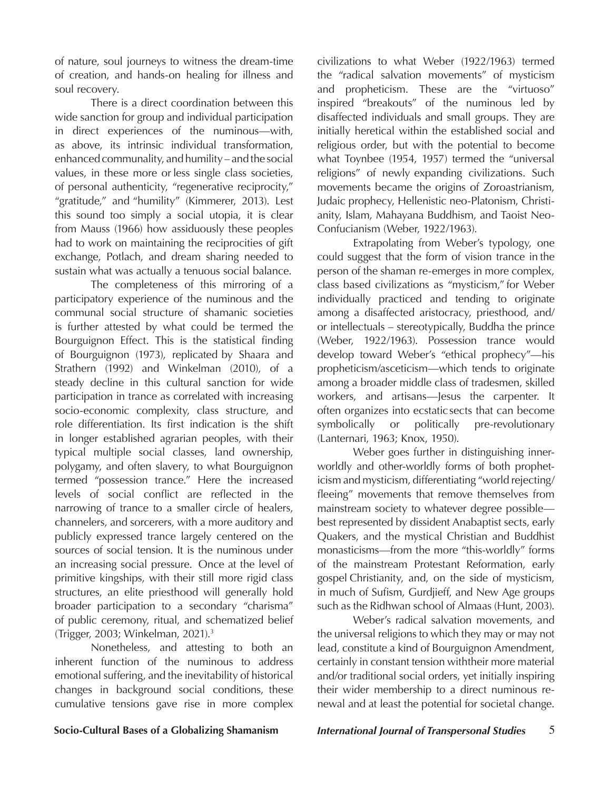of nature, soul journeys to witness the dream-time of creation, and hands-on healing for illness and soul recovery.

There is a direct coordination between this wide sanction for group and individual participation in direct experiences of the numinous—with, as above, its intrinsic individual transformation, enhanced communality, and humility – and the social values, in these more or less single class societies, of personal authenticity, "regenerative reciprocity," "gratitude," and "humility" (Kimmerer, 2013). Lest this sound too simply a social utopia, it is clear from Mauss (1966) how assiduously these peoples had to work on maintaining the reciprocities of gift exchange, Potlach, and dream sharing needed to sustain what was actually a tenuous social balance.

The completeness of this mirroring of a participatory experience of the numinous and the communal social structure of shamanic societies is further attested by what could be termed the Bourguignon Effect. This is the statistical finding of Bourguignon (1973), replicated by Shaara and Strathern (1992) and Winkelman (2010), of a steady decline in this cultural sanction for wide participation in trance as correlated with increasing socio-economic complexity, class structure, and role differentiation. Its first indication is the shift in longer established agrarian peoples, with their typical multiple social classes, land ownership, polygamy, and often slavery, to what Bourguignon termed "possession trance." Here the increased levels of social conflict are reflected in the narrowing of trance to a smaller circle of healers, channelers, and sorcerers, with a more auditory and publicly expressed trance largely centered on the sources of social tension. It is the numinous under an increasing social pressure. Once at the level of primitive kingships, with their still more rigid class structures, an elite priesthood will generally hold broader participation to a secondary "charisma" of public ceremony, ritual, and schematized belief (Trigger, 2003; Winkelman, 2021).3

Nonetheless, and attesting to both an inherent function of the numinous to address emotional suffering, and the inevitability of historical changes in background social conditions, these cumulative tensions gave rise in more complex

civilizations to what Weber (1922/1963) termed the "radical salvation movements" of mysticism and propheticism. These are the "virtuoso" inspired "breakouts" of the numinous led by disaffected individuals and small groups. They are initially heretical within the established social and religious order, but with the potential to become what Toynbee (1954, 1957) termed the "universal religions" of newly expanding civilizations. Such movements became the origins of Zoroastrianism, Judaic prophecy, Hellenistic neo-Platonism, Christianity, Islam, Mahayana Buddhism, and Taoist Neo-Confucianism (Weber, 1922/1963).

Extrapolating from Weber's typology, one could suggest that the form of vision trance in the person of the shaman re-emerges in more complex, class based civilizations as "mysticism," for Weber individually practiced and tending to originate among a disaffected aristocracy, priesthood, and/ or intellectuals – stereotypically, Buddha the prince (Weber, 1922/1963). Possession trance would develop toward Weber's "ethical prophecy"—his propheticism/asceticism—which tends to originate among a broader middle class of tradesmen, skilled workers, and artisans—Jesus the carpenter. It often organizes into ecstatic sects that can become symbolically or politically pre-revolutionary (Lanternari, 1963; Knox, 1950).

Weber goes further in distinguishing innerworldly and other-worldly forms of both propheticism and mysticism, differentiating "world rejecting/ fleeing" movements that remove themselves from mainstream society to whatever degree possible best represented by dissident Anabaptist sects, early Quakers, and the mystical Christian and Buddhist monasticisms—from the more "this-worldly" forms of the mainstream Protestant Reformation, early gospel Christianity, and, on the side of mysticism, in much of Sufism, Gurdjieff, and New Age groups such as the Ridhwan school of Almaas (Hunt, 2003).

Weber's radical salvation movements, and the universal religions to which they may or may not lead, constitute a kind of Bourguignon Amendment, certainly in constant tension with their more material and/or traditional social orders, yet initially inspiring their wider membership to a direct numinous renewal and at least the potential for societal change.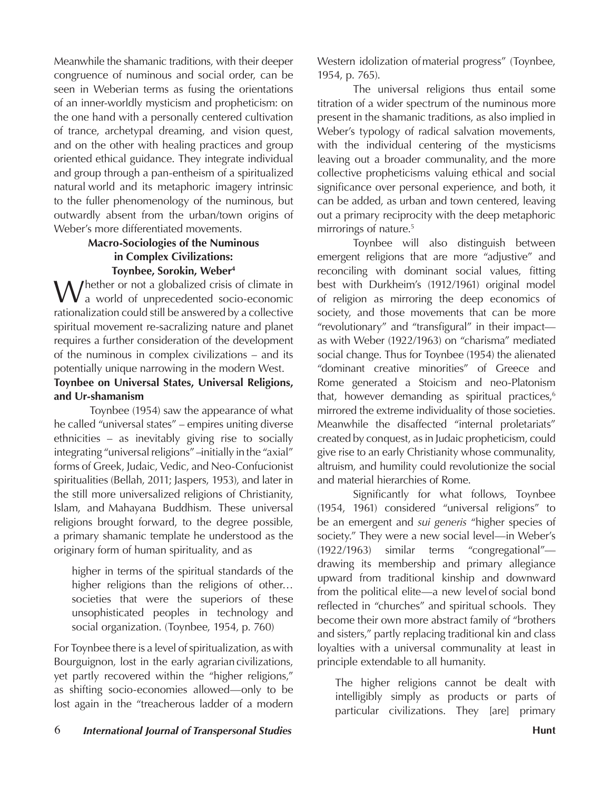Meanwhile the shamanic traditions, with their deeper congruence of numinous and social order, can be seen in Weberian terms as fusing the orientations of an inner-worldly mysticism and propheticism: on the one hand with a personally centered cultivation of trance, archetypal dreaming, and vision quest, and on the other with healing practices and group oriented ethical guidance. They integrate individual and group through a pan-entheism of a spiritualized natural world and its metaphoric imagery intrinsic to the fuller phenomenology of the numinous, but outwardly absent from the urban/town origins of Weber's more differentiated movements.

# **Macro-Sociologies of the Numinous in Complex Civilizations: Toynbee, Sorokin, Weber4**

Whether or not a globalized crisis of climate in<br>
a world of unprecedented socio-economic rationalization could still be answered by a collective spiritual movement re-sacralizing nature and planet requires a further consideration of the development of the numinous in complex civilizations – and its potentially unique narrowing in the modern West.

## **Toynbee on Universal States, Universal Religions, and Ur-shamanism**

Toynbee (1954) saw the appearance of what he called "universal states" – empires uniting diverse ethnicities – as inevitably giving rise to socially integrating "universal religions" –initially in the "axial" forms of Greek, Judaic, Vedic, and Neo-Confucionist spiritualities (Bellah, 2011; Jaspers, 1953), and later in the still more universalized religions of Christianity, Islam, and Mahayana Buddhism. These universal religions brought forward, to the degree possible, a primary shamanic template he understood as the originary form of human spirituality, and as

higher in terms of the spiritual standards of the higher religions than the religions of other... societies that were the superiors of these unsophisticated peoples in technology and social organization. (Toynbee, 1954, p. 760)

For Toynbee there is a level of spiritualization, as with Bourguignon, lost in the early agrarian civilizations, yet partly recovered within the "higher religions," as shifting socio-economies allowed—only to be lost again in the "treacherous ladder of a modern Western idolization of material progress" (Toynbee, 1954, p. 765).

The universal religions thus entail some titration of a wider spectrum of the numinous more present in the shamanic traditions, as also implied in Weber's typology of radical salvation movements, with the individual centering of the mysticisms leaving out a broader communality, and the more collective propheticisms valuing ethical and social significance over personal experience, and both, it can be added, as urban and town centered, leaving out a primary reciprocity with the deep metaphoric mirrorings of nature.<sup>5</sup>

Toynbee will also distinguish between emergent religions that are more "adjustive" and reconciling with dominant social values, fitting best with Durkheim's (1912/1961) original model of religion as mirroring the deep economics of society, and those movements that can be more "revolutionary" and "transfigural" in their impact as with Weber (1922/1963) on "charisma" mediated social change. Thus for Toynbee (1954) the alienated "dominant creative minorities" of Greece and Rome generated a Stoicism and neo-Platonism that, however demanding as spiritual practices, $6$ mirrored the extreme individuality of those societies. Meanwhile the disaffected "internal proletariats" created by conquest, as in Judaic propheticism, could give rise to an early Christianity whose communality, altruism, and humility could revolutionize the social and material hierarchies of Rome.

Significantly for what follows, Toynbee (1954, 1961) considered "universal religions" to be an emergent and *sui generis* "higher species of society." They were a new social level—in Weber's (1922/1963) similar terms "congregational" drawing its membership and primary allegiance upward from traditional kinship and downward from the political elite—a new level of social bond reflected in "churches" and spiritual schools. They become their own more abstract family of "brothers and sisters," partly replacing traditional kin and class loyalties with a universal communality at least in principle extendable to all humanity.

The higher religions cannot be dealt with intelligibly simply as products or parts of particular civilizations. They [are] primary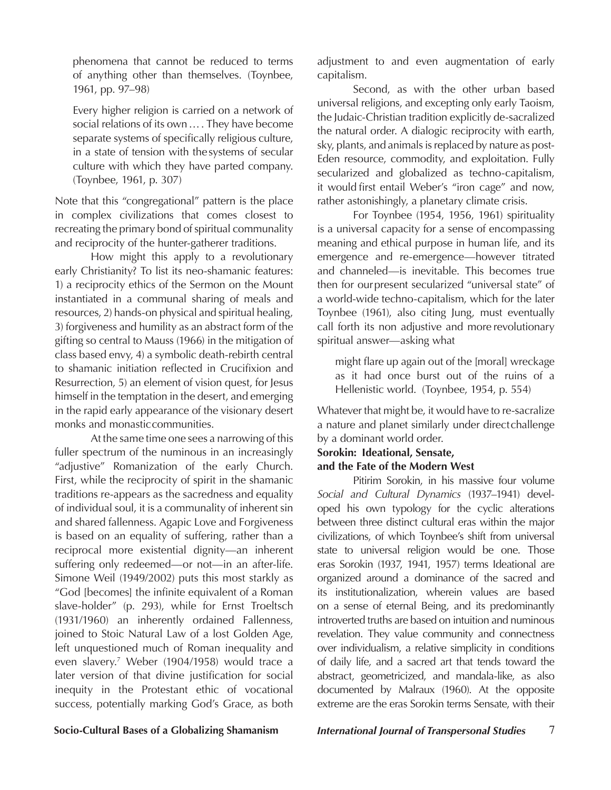phenomena that cannot be reduced to terms of anything other than themselves. (Toynbee, 1961, pp. 97–98)

Every higher religion is carried on a network of social relations of its own…. They have become separate systems of specifically religious culture, in a state of tension with the systems of secular culture with which they have parted company. (Toynbee, 1961, p. 307)

Note that this "congregational" pattern is the place in complex civilizations that comes closest to recreating the primary bond of spiritual communality and reciprocity of the hunter-gatherer traditions.

How might this apply to a revolutionary early Christianity? To list its neo-shamanic features: 1) a reciprocity ethics of the Sermon on the Mount instantiated in a communal sharing of meals and resources, 2) hands-on physical and spiritual healing, 3) forgiveness and humility as an abstract form of the gifting so central to Mauss (1966) in the mitigation of class based envy, 4) a symbolic death-rebirth central to shamanic initiation reflected in Crucifixion and Resurrection, 5) an element of vision quest, for Jesus himself in the temptation in the desert, and emerging in the rapid early appearance of the visionary desert monks and monastic communities.

At the same time one sees a narrowing of this fuller spectrum of the numinous in an increasingly "adjustive" Romanization of the early Church. First, while the reciprocity of spirit in the shamanic traditions re-appears as the sacredness and equality of individual soul, it is a communality of inherent sin and shared fallenness. Agapic Love and Forgiveness is based on an equality of suffering, rather than a reciprocal more existential dignity—an inherent suffering only redeemed—or not—in an after-life. Simone Weil (1949/2002) puts this most starkly as "God [becomes] the infinite equivalent of a Roman slave-holder" (p. 293), while for Ernst Troeltsch (1931/1960) an inherently ordained Fallenness, joined to Stoic Natural Law of a lost Golden Age, left unquestioned much of Roman inequality and even slavery.7 Weber (1904/1958) would trace a later version of that divine justification for social inequity in the Protestant ethic of vocational success, potentially marking God's Grace, as both

adjustment to and even augmentation of early capitalism.

Second, as with the other urban based universal religions, and excepting only early Taoism, the Judaic-Christian tradition explicitly de-sacralized the natural order. A dialogic reciprocity with earth, sky, plants, and animals is replaced by nature as post-Eden resource, commodity, and exploitation. Fully secularized and globalized as techno-capitalism, it would first entail Weber's "iron cage" and now, rather astonishingly, a planetary climate crisis.

For Toynbee (1954, 1956, 1961) spirituality is a universal capacity for a sense of encompassing meaning and ethical purpose in human life, and its emergence and re-emergence—however titrated and channeled—is inevitable. This becomes true then for our present secularized "universal state" of a world-wide techno-capitalism, which for the later Toynbee (1961), also citing Jung, must eventually call forth its non adjustive and more revolutionary spiritual answer—asking what

might flare up again out of the [moral] wreckage as it had once burst out of the ruins of a Hellenistic world. (Toynbee, 1954, p. 554)

Whatever that might be, it would have to re-sacralize a nature and planet similarly under direct challenge by a dominant world order.

## **Sorokin: Ideational, Sensate, and the Fate of the Modern West**

Pitirim Sorokin, in his massive four volume *Social and Cultural Dynamics* (1937–1941) developed his own typology for the cyclic alterations between three distinct cultural eras within the major civilizations, of which Toynbee's shift from universal state to universal religion would be one. Those eras Sorokin (1937, 1941, 1957) terms Ideational are organized around a dominance of the sacred and its institutionalization, wherein values are based on a sense of eternal Being, and its predominantly introverted truths are based on intuition and numinous revelation. They value community and connectness over individualism, a relative simplicity in conditions of daily life, and a sacred art that tends toward the abstract, geometricized, and mandala-like, as also documented by Malraux (1960). At the opposite extreme are the eras Sorokin terms Sensate, with their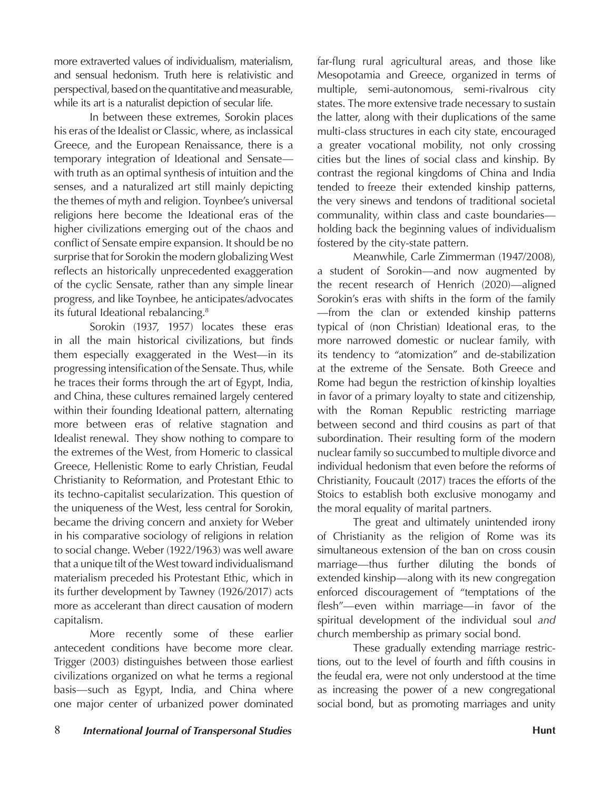more extraverted values of individualism, materialism, and sensual hedonism. Truth here is relativistic and perspectival, based on the quantitative and measurable, while its art is a naturalist depiction of secular life.

In between these extremes, Sorokin places his eras of the Idealist or Classic, where, as inclassical Greece, and the European Renaissance, there is a temporary integration of Ideational and Sensate with truth as an optimal synthesis of intuition and the senses, and a naturalized art still mainly depicting the themes of myth and religion. Toynbee's universal religions here become the Ideational eras of the higher civilizations emerging out of the chaos and conflict of Sensate empire expansion. It should be no surprise that for Sorokin the modern globalizing West reflects an historically unprecedented exaggeration of the cyclic Sensate, rather than any simple linear progress, and like Toynbee, he anticipates/advocates its futural Ideational rebalancing.<sup>8</sup>

Sorokin (1937, 1957) locates these eras in all the main historical civilizations, but finds them especially exaggerated in the West—in its progressing intensification of the Sensate. Thus, while he traces their forms through the art of Egypt, India, and China, these cultures remained largely centered within their founding Ideational pattern, alternating more between eras of relative stagnation and Idealist renewal. They show nothing to compare to the extremes of the West, from Homeric to classical Greece, Hellenistic Rome to early Christian, Feudal Christianity to Reformation, and Protestant Ethic to its techno-capitalist secularization. This question of the uniqueness of the West, less central for Sorokin, became the driving concern and anxiety for Weber in his comparative sociology of religions in relation to social change. Weber (1922/1963) was well aware that a unique tilt of the West toward individualismand materialism preceded his Protestant Ethic, which in its further development by Tawney (1926/2017) acts more as accelerant than direct causation of modern capitalism.

More recently some of these earlier antecedent conditions have become more clear. Trigger (2003) distinguishes between those earliest civilizations organized on what he terms a regional basis—such as Egypt, India, and China where one major center of urbanized power dominated

far-flung rural agricultural areas, and those like Mesopotamia and Greece, organized in terms of multiple, semi-autonomous, semi-rivalrous city states. The more extensive trade necessary to sustain the latter, along with their duplications of the same multi-class structures in each city state, encouraged a greater vocational mobility, not only crossing cities but the lines of social class and kinship. By contrast the regional kingdoms of China and India tended to freeze their extended kinship patterns, the very sinews and tendons of traditional societal communality, within class and caste boundaries holding back the beginning values of individualism fostered by the city-state pattern.

Meanwhile, Carle Zimmerman (1947/2008), a student of Sorokin—and now augmented by the recent research of Henrich (2020)—aligned Sorokin's eras with shifts in the form of the family —from the clan or extended kinship patterns typical of (non Christian) Ideational eras, to the more narrowed domestic or nuclear family, with its tendency to "atomization" and de-stabilization at the extreme of the Sensate. Both Greece and Rome had begun the restriction of kinship loyalties in favor of a primary loyalty to state and citizenship, with the Roman Republic restricting marriage between second and third cousins as part of that subordination. Their resulting form of the modern nuclear family so succumbed to multiple divorce and individual hedonism that even before the reforms of Christianity, Foucault (2017) traces the efforts of the Stoics to establish both exclusive monogamy and the moral equality of marital partners.

The great and ultimately unintended irony of Christianity as the religion of Rome was its simultaneous extension of the ban on cross cousin marriage—thus further diluting the bonds of extended kinship—along with its new congregation enforced discouragement of "temptations of the flesh"—even within marriage—in favor of the spiritual development of the individual soul *and*  church membership as primary social bond.

These gradually extending marriage restrictions, out to the level of fourth and fifth cousins in the feudal era, were not only understood at the time as increasing the power of a new congregational social bond, but as promoting marriages and unity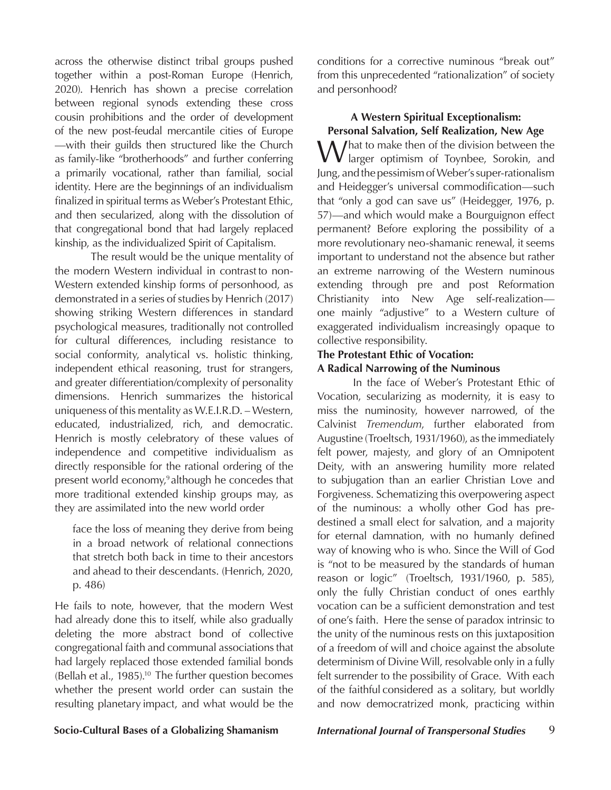across the otherwise distinct tribal groups pushed together within a post-Roman Europe (Henrich, 2020). Henrich has shown a precise correlation between regional synods extending these cross cousin prohibitions and the order of development of the new post-feudal mercantile cities of Europe —with their guilds then structured like the Church as family-like "brotherhoods" and further conferring a primarily vocational, rather than familial, social identity. Here are the beginnings of an individualism finalized in spiritual terms as Weber's Protestant Ethic, and then secularized, along with the dissolution of that congregational bond that had largely replaced kinship, as the individualized Spirit of Capitalism.

The result would be the unique mentality of the modern Western individual in contrast to non-Western extended kinship forms of personhood, as demonstrated in a series of studies by Henrich (2017) showing striking Western differences in standard psychological measures, traditionally not controlled for cultural differences, including resistance to social conformity, analytical vs. holistic thinking, independent ethical reasoning, trust for strangers, and greater differentiation/complexity of personality dimensions. Henrich summarizes the historical uniqueness of this mentality as W.E.I.R.D. – Western, educated, industrialized, rich, and democratic. Henrich is mostly celebratory of these values of independence and competitive individualism as directly responsible for the rational ordering of the present world economy,<sup>9</sup> although he concedes that more traditional extended kinship groups may, as they are assimilated into the new world order

face the loss of meaning they derive from being in a broad network of relational connections that stretch both back in time to their ancestors and ahead to their descendants. (Henrich, 2020, p. 486)

He fails to note, however, that the modern West had already done this to itself, while also gradually deleting the more abstract bond of collective congregational faith and communal associations that had largely replaced those extended familial bonds (Bellah et al., 1985).<sup>10</sup> The further question becomes whether the present world order can sustain the resulting planetary impact, and what would be the

conditions for a corrective numinous "break out" from this unprecedented "rationalization" of society and personhood?

# **A Western Spiritual Exceptionalism: Personal Salvation, Self Realization, New Age**

 $M/h$ at to make then of the division between the  $\bf{V}$  larger optimism of Toynbee, Sorokin, and Jung, and the pessimism of Weber's super-rationalism and Heidegger's universal commodification—such that "only a god can save us" (Heidegger, 1976, p. 57)—and which would make a Bourguignon effect permanent? Before exploring the possibility of a more revolutionary neo-shamanic renewal, it seems important to understand not the absence but rather an extreme narrowing of the Western numinous extending through pre and post Reformation Christianity into New Age self-realization one mainly "adjustive" to a Western culture of exaggerated individualism increasingly opaque to collective responsibility.

### **The Protestant Ethic of Vocation:**

## **A Radical Narrowing of the Numinous**

In the face of Weber's Protestant Ethic of Vocation, secularizing as modernity, it is easy to miss the numinosity, however narrowed, of the Calvinist *Tremendum*, further elaborated from Augustine (Troeltsch, 1931/1960), as the immediately felt power, majesty, and glory of an Omnipotent Deity, with an answering humility more related to subjugation than an earlier Christian Love and Forgiveness. Schematizing this overpowering aspect of the numinous: a wholly other God has predestined a small elect for salvation, and a majority for eternal damnation, with no humanly defined way of knowing who is who. Since the Will of God is "not to be measured by the standards of human reason or logic" (Troeltsch, 1931/1960, p. 585), only the fully Christian conduct of ones earthly vocation can be a sufficient demonstration and test of one's faith. Here the sense of paradox intrinsic to the unity of the numinous rests on this juxtaposition of a freedom of will and choice against the absolute determinism of Divine Will, resolvable only in a fully felt surrender to the possibility of Grace. With each of the faithful considered as a solitary, but worldly and now democratrized monk, practicing within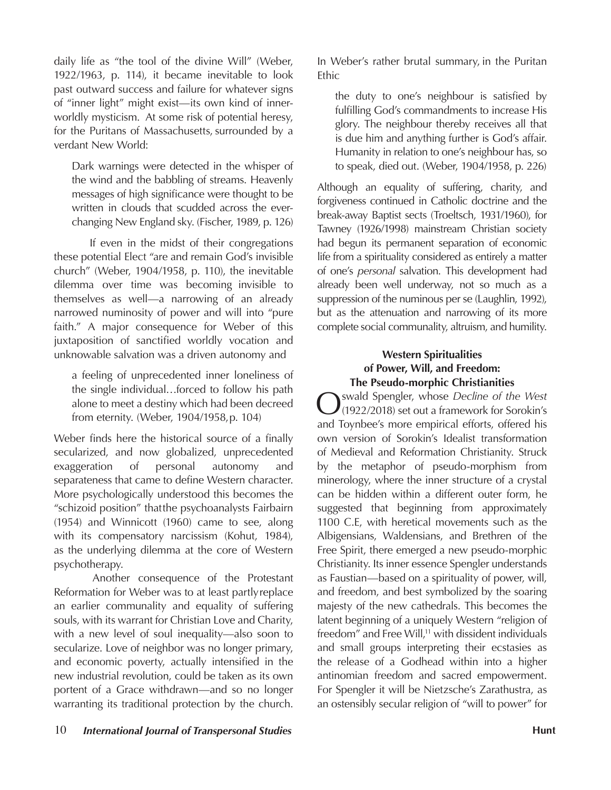daily life as "the tool of the divine Will" (Weber, 1922/1963, p. 114), it became inevitable to look past outward success and failure for whatever signs of "inner light" might exist—its own kind of innerworldly mysticism. At some risk of potential heresy, for the Puritans of Massachusetts, surrounded by a verdant New World:

Dark warnings were detected in the whisper of the wind and the babbling of streams. Heavenly messages of high significance were thought to be written in clouds that scudded across the everchanging New England sky. (Fischer, 1989, p. 126)

If even in the midst of their congregations these potential Elect "are and remain God's invisible church" (Weber, 1904/1958, p. 110), the inevitable dilemma over time was becoming invisible to themselves as well—a narrowing of an already narrowed numinosity of power and will into "pure faith." A major consequence for Weber of this juxtaposition of sanctified worldly vocation and unknowable salvation was a driven autonomy and

a feeling of unprecedented inner loneliness of the single individual…forced to follow his path alone to meet a destiny which had been decreed from eternity. (Weber, 1904/1958, p. 104)

Weber finds here the historical source of a finally secularized, and now globalized, unprecedented exaggeration of personal autonomy and separateness that came to define Western character. More psychologically understood this becomes the "schizoid position" that the psychoanalysts Fairbairn (1954) and Winnicott (1960) came to see, along with its compensatory narcissism (Kohut, 1984), as the underlying dilemma at the core of Western psychotherapy.

Another consequence of the Protestant Reformation for Weber was to at least partly replace an earlier communality and equality of suffering souls, with its warrant for Christian Love and Charity, with a new level of soul inequality—also soon to secularize. Love of neighbor was no longer primary, and economic poverty, actually intensified in the new industrial revolution, could be taken as its own portent of a Grace withdrawn—and so no longer warranting its traditional protection by the church.

10 *International Journal of Transpersonal Studies* **Hunt Hunt Hunt Hunt** 

In Weber's rather brutal summary, in the Puritan Ethic

the duty to one's neighbour is satisfied by fulfilling God's commandments to increase His glory. The neighbour thereby receives all that is due him and anything further is God's affair. Humanity in relation to one's neighbour has, so to speak, died out. (Weber, 1904/1958, p. 226)

Although an equality of suffering, charity, and forgiveness continued in Catholic doctrine and the break-away Baptist sects (Troeltsch, 1931/1960), for Tawney (1926/1998) mainstream Christian society had begun its permanent separation of economic life from a spirituality considered as entirely a matter of one's *personal* salvation. This development had already been well underway, not so much as a suppression of the numinous per se (Laughlin, 1992), but as the attenuation and narrowing of its more complete social communality, altruism, and humility.

# **Western Spiritualities of Power, Will, and Freedom: The Pseudo-morphic Christianities**

Oswald Spengler, whose *Decline of the West*  (1922/2018) set out a framework for Sorokin's and Toynbee's more empirical efforts, offered his own version of Sorokin's Idealist transformation of Medieval and Reformation Christianity. Struck by the metaphor of pseudo-morphism from minerology, where the inner structure of a crystal can be hidden within a different outer form, he suggested that beginning from approximately 1100 C.E, with heretical movements such as the Albigensians, Waldensians, and Brethren of the Free Spirit, there emerged a new pseudo-morphic Christianity. Its inner essence Spengler understands as Faustian—based on a spirituality of power, will, and freedom, and best symbolized by the soaring majesty of the new cathedrals. This becomes the latent beginning of a uniquely Western "religion of freedom" and Free Will,<sup>11</sup> with dissident individuals and small groups interpreting their ecstasies as the release of a Godhead within into a higher antinomian freedom and sacred empowerment. For Spengler it will be Nietzsche's Zarathustra, as an ostensibly secular religion of "will to power" for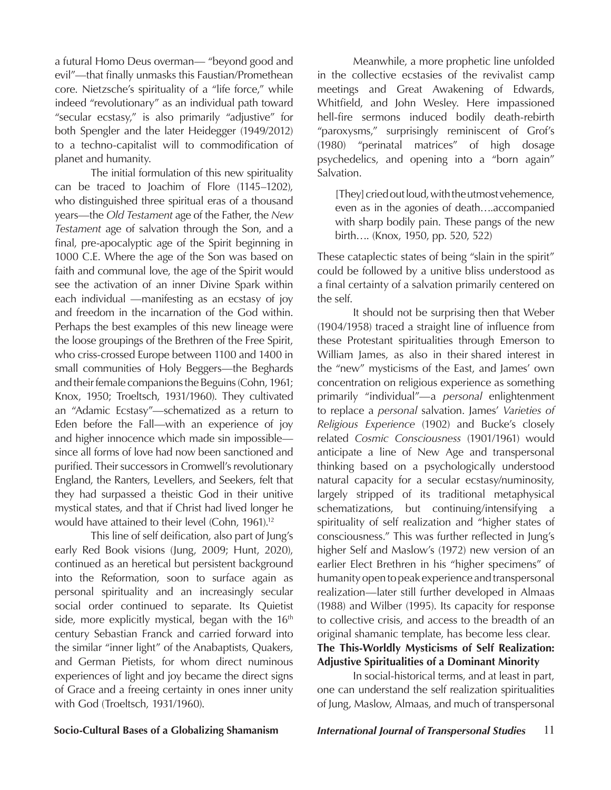a futural Homo Deus overman— "beyond good and evil"—that finally unmasks this Faustian/Promethean core. Nietzsche's spirituality of a "life force," while indeed "revolutionary" as an individual path toward "secular ecstasy," is also primarily "adjustive" for both Spengler and the later Heidegger (1949/2012) to a techno-capitalist will to commodification of planet and humanity.

The initial formulation of this new spirituality can be traced to Joachim of Flore (1145–1202), who distinguished three spiritual eras of a thousand years—the *Old Testament* age of the Father, the *New Testament* age of salvation through the Son, and a final, pre-apocalyptic age of the Spirit beginning in 1000 C.E. Where the age of the Son was based on faith and communal love, the age of the Spirit would see the activation of an inner Divine Spark within each individual —manifesting as an ecstasy of joy and freedom in the incarnation of the God within. Perhaps the best examples of this new lineage were the loose groupings of the Brethren of the Free Spirit, who criss-crossed Europe between 1100 and 1400 in small communities of Holy Beggers—the Beghards and their female companions the Beguins (Cohn, 1961; Knox, 1950; Troeltsch, 1931/1960). They cultivated an "Adamic Ecstasy"—schematized as a return to Eden before the Fall—with an experience of joy and higher innocence which made sin impossible since all forms of love had now been sanctioned and purified. Their successors in Cromwell's revolutionary England, the Ranters, Levellers, and Seekers, felt that they had surpassed a theistic God in their unitive mystical states, and that if Christ had lived longer he would have attained to their level (Cohn, 1961).<sup>12</sup>

This line of self deification, also part of Jung's early Red Book visions (Jung, 2009; Hunt, 2020), continued as an heretical but persistent background into the Reformation, soon to surface again as personal spirituality and an increasingly secular social order continued to separate. Its Quietist side, more explicitly mystical, began with the 16<sup>th</sup> century Sebastian Franck and carried forward into the similar "inner light" of the Anabaptists, Quakers, and German Pietists, for whom direct numinous experiences of light and joy became the direct signs of Grace and a freeing certainty in ones inner unity with God (Troeltsch, 1931/1960).

Meanwhile, a more prophetic line unfolded in the collective ecstasies of the revivalist camp meetings and Great Awakening of Edwards, Whitfield, and John Wesley. Here impassioned hell-fire sermons induced bodily death-rebirth "paroxysms," surprisingly reminiscent of Grof's (1980) "perinatal matrices" of high dosage psychedelics, and opening into a "born again" Salvation.

[They] cried out loud, with the utmost vehemence, even as in the agonies of death….accompanied with sharp bodily pain. These pangs of the new birth…. (Knox, 1950, pp. 520, 522)

These cataplectic states of being "slain in the spirit" could be followed by a unitive bliss understood as a final certainty of a salvation primarily centered on the self.

It should not be surprising then that Weber (1904/1958) traced a straight line of influence from these Protestant spiritualities through Emerson to William James, as also in their shared interest in the "new" mysticisms of the East, and James' own concentration on religious experience as something primarily "individual"—a *personal* enlightenment to replace a *personal* salvation. James' *Varieties of Religious Experience* (1902) and Bucke's closely related *Cosmic Consciousness* (1901/1961) would anticipate a line of New Age and transpersonal thinking based on a psychologically understood natural capacity for a secular ecstasy/numinosity, largely stripped of its traditional metaphysical schematizations, but continuing/intensifying a spirituality of self realization and "higher states of consciousness." This was further reflected in Jung's higher Self and Maslow's (1972) new version of an earlier Elect Brethren in his "higher specimens" of humanity open to peak experience and transpersonal realization—later still further developed in Almaas (1988) and Wilber (1995). Its capacity for response to collective crisis, and access to the breadth of an original shamanic template, has become less clear. **The This-Worldly Mysticisms of Self Realization:** 

# **Adjustive Spiritualities of a Dominant Minority**

In social-historical terms, and at least in part, one can understand the self realization spiritualities of Jung, Maslow, Almaas, and much of transpersonal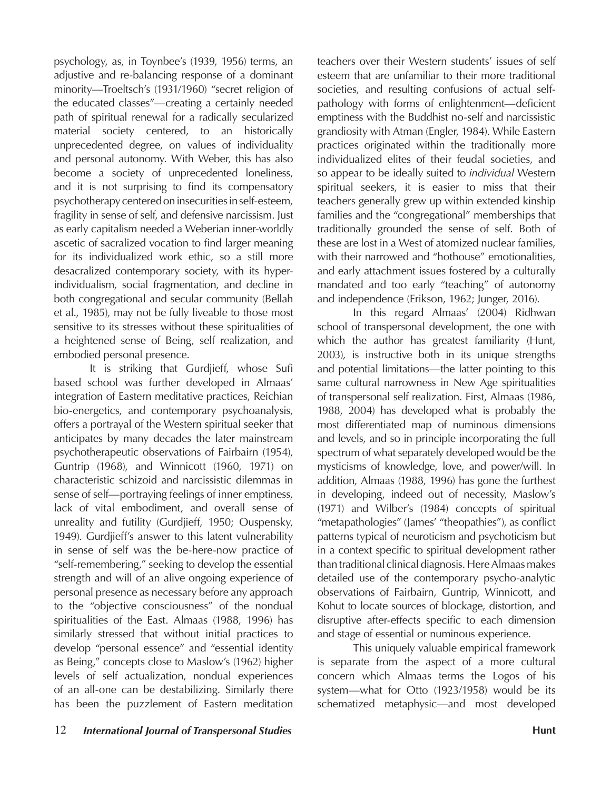psychology, as, in Toynbee's (1939, 1956) terms, an adjustive and re-balancing response of a dominant minority—Troeltsch's (1931/1960) "secret religion of the educated classes"—creating a certainly needed path of spiritual renewal for a radically secularized material society centered, to an historically unprecedented degree, on values of individuality and personal autonomy. With Weber, this has also become a society of unprecedented loneliness, and it is not surprising to find its compensatory psychotherapy centered on insecurities in self-esteem, fragility in sense of self, and defensive narcissism. Just as early capitalism needed a Weberian inner-worldly ascetic of sacralized vocation to find larger meaning for its individualized work ethic, so a still more desacralized contemporary society, with its hyperindividualism, social fragmentation, and decline in both congregational and secular community (Bellah et al., 1985), may not be fully liveable to those most sensitive to its stresses without these spiritualities of a heightened sense of Being, self realization, and embodied personal presence.

It is striking that Gurdjieff, whose Sufi based school was further developed in Almaas' integration of Eastern meditative practices, Reichian bio-energetics, and contemporary psychoanalysis, offers a portrayal of the Western spiritual seeker that anticipates by many decades the later mainstream psychotherapeutic observations of Fairbairn (1954), Guntrip (1968), and Winnicott (1960, 1971) on characteristic schizoid and narcissistic dilemmas in sense of self—portraying feelings of inner emptiness, lack of vital embodiment, and overall sense of unreality and futility (Gurdjieff, 1950; Ouspensky, 1949). Gurdjieff's answer to this latent vulnerability in sense of self was the be-here-now practice of "self-remembering," seeking to develop the essential strength and will of an alive ongoing experience of personal presence as necessary before any approach to the "objective consciousness" of the nondual spiritualities of the East. Almaas (1988, 1996) has similarly stressed that without initial practices to develop "personal essence" and "essential identity as Being," concepts close to Maslow's (1962) higher levels of self actualization, nondual experiences of an all-one can be destabilizing. Similarly there has been the puzzlement of Eastern meditation

teachers over their Western students' issues of self esteem that are unfamiliar to their more traditional societies, and resulting confusions of actual selfpathology with forms of enlightenment—deficient emptiness with the Buddhist no-self and narcissistic grandiosity with Atman (Engler, 1984). While Eastern practices originated within the traditionally more individualized elites of their feudal societies, and so appear to be ideally suited to *individual* Western spiritual seekers, it is easier to miss that their teachers generally grew up within extended kinship families and the "congregational" memberships that traditionally grounded the sense of self. Both of these are lost in a West of atomized nuclear families, with their narrowed and "hothouse" emotionalities, and early attachment issues fostered by a culturally mandated and too early "teaching" of autonomy and independence (Erikson, 1962; Junger, 2016).

In this regard Almaas' (2004) Ridhwan school of transpersonal development, the one with which the author has greatest familiarity (Hunt, 2003), is instructive both in its unique strengths and potential limitations—the latter pointing to this same cultural narrowness in New Age spiritualities of transpersonal self realization. First, Almaas (1986, 1988, 2004) has developed what is probably the most differentiated map of numinous dimensions and levels, and so in principle incorporating the full spectrum of what separately developed would be the mysticisms of knowledge, love, and power/will. In addition, Almaas (1988, 1996) has gone the furthest in developing, indeed out of necessity, Maslow's (1971) and Wilber's (1984) concepts of spiritual "metapathologies" (James' "theopathies"), as conflict patterns typical of neuroticism and psychoticism but in a context specific to spiritual development rather than traditional clinical diagnosis. Here Almaas makes detailed use of the contemporary psycho-analytic observations of Fairbairn, Guntrip, Winnicott, and Kohut to locate sources of blockage, distortion, and disruptive after-effects specific to each dimension and stage of essential or numinous experience.

This uniquely valuable empirical framework is separate from the aspect of a more cultural concern which Almaas terms the Logos of his system—what for Otto (1923/1958) would be its schematized metaphysic—and most developed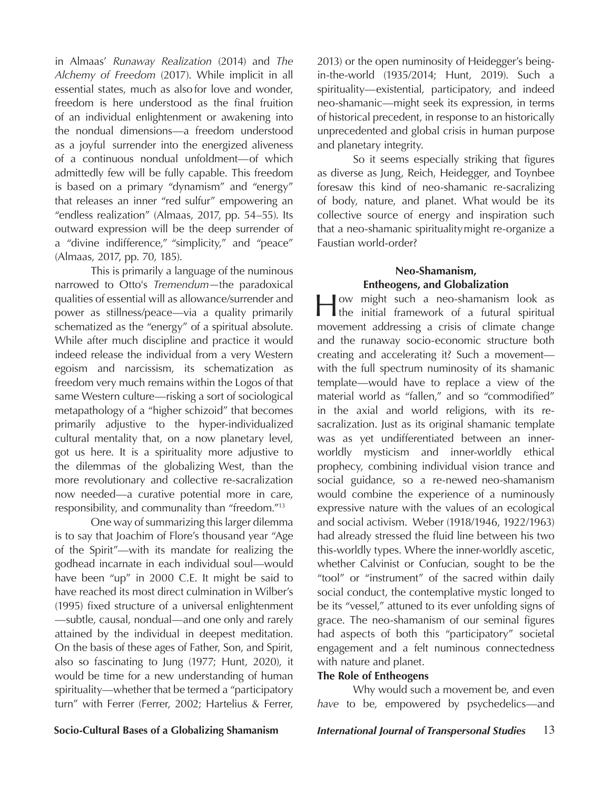in Almaas' *Runaway Realization* (2014) and *The Alchemy of Freedom* (2017). While implicit in all essential states, much as also for love and wonder, freedom is here understood as the final fruition of an individual enlightenment or awakening into the nondual dimensions—a freedom understood as a joyful surrender into the energized aliveness of a continuous nondual unfoldment—of which admittedly few will be fully capable. This freedom is based on a primary "dynamism" and "energy" that releases an inner "red sulfur" empowering an "endless realization" (Almaas, 2017, pp. 54–55). Its outward expression will be the deep surrender of a "divine indifference," "simplicity," and "peace" (Almaas, 2017, pp. 70, 185).

This is primarily a language of the numinous narrowed to Otto's *Tremendum—*the paradoxical qualities of essential will as allowance/surrender and power as stillness/peace—via a quality primarily schematized as the "energy" of a spiritual absolute. While after much discipline and practice it would indeed release the individual from a very Western egoism and narcissism, its schematization as freedom very much remains within the Logos of that same Western culture—risking a sort of sociological metapathology of a "higher schizoid" that becomes primarily adjustive to the hyper-individualized cultural mentality that, on a now planetary level, got us here. It is a spirituality more adjustive to the dilemmas of the globalizing West, than the more revolutionary and collective re-sacralization now needed—a curative potential more in care, responsibility, and communality than "freedom."13

One way of summarizing this larger dilemma is to say that Joachim of Flore's thousand year "Age of the Spirit"—with its mandate for realizing the godhead incarnate in each individual soul—would have been "up" in 2000 C.E. It might be said to have reached its most direct culmination in Wilber's (1995) fixed structure of a universal enlightenment —subtle, causal, nondual—and one only and rarely attained by the individual in deepest meditation. On the basis of these ages of Father, Son, and Spirit, also so fascinating to Jung (1977; Hunt, 2020), it would be time for a new understanding of human spirituality—whether that be termed a "participatory turn" with Ferrer (Ferrer, 2002; Hartelius & Ferrer,

2013) or the open numinosity of Heidegger's beingin-the-world (1935/2014; Hunt, 2019). Such a spirituality—existential, participatory, and indeed neo-shamanic—might seek its expression, in terms of historical precedent, in response to an historically unprecedented and global crisis in human purpose and planetary integrity.

So it seems especially striking that figures as diverse as Jung, Reich, Heidegger, and Toynbee foresaw this kind of neo-shamanic re-sacralizing of body, nature, and planet. What would be its collective source of energy and inspiration such that a neo-shamanic spirituality might re-organize a Faustian world-order?

## **Neo-Shamanism, Entheogens, and Globalization**

How might such a neo-shamanism look as the initial framework of a futural spiritual movement addressing a crisis of climate change and the runaway socio-economic structure both creating and accelerating it? Such a movement with the full spectrum numinosity of its shamanic template—would have to replace a view of the material world as "fallen," and so "commodified" in the axial and world religions, with its resacralization. Just as its original shamanic template was as yet undifferentiated between an innerworldly mysticism and inner-worldly ethical prophecy, combining individual vision trance and social guidance, so a re-newed neo-shamanism would combine the experience of a numinously expressive nature with the values of an ecological and social activism. Weber (1918/1946, 1922/1963) had already stressed the fluid line between his two this-worldly types. Where the inner-worldly ascetic, whether Calvinist or Confucian, sought to be the "tool" or "instrument" of the sacred within daily social conduct, the contemplative mystic longed to be its "vessel," attuned to its ever unfolding signs of grace. The neo-shamanism of our seminal figures had aspects of both this "participatory" societal engagement and a felt numinous connectedness with nature and planet.

### **The Role of Entheogens**

Why would such a movement be, and even *have* to be, empowered by psychedelics—and

**Socio-Cultural Bases of a Globalizing Shamanism** *International Journal of Transpersonal Studies* 13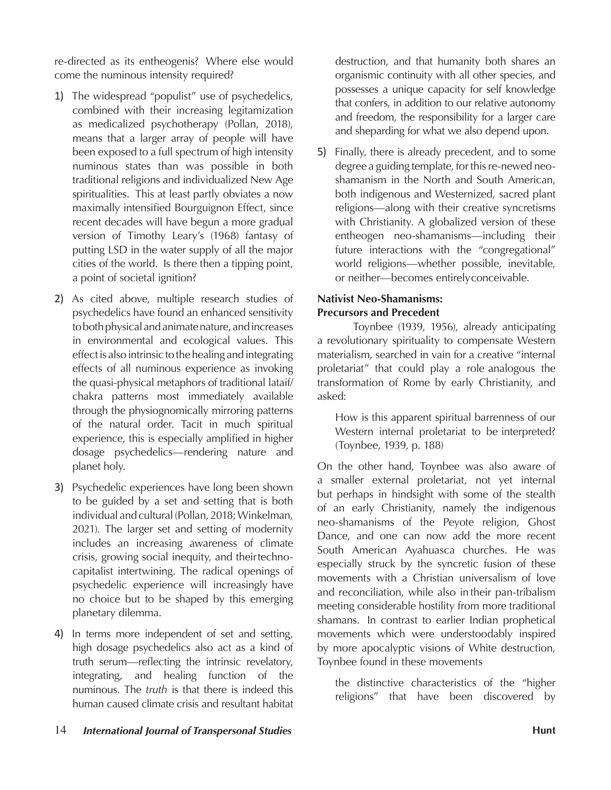re-directed as its entheogenis? Where else would come the numinous intensity required?

- 1) The widespread "populist" use of psychedelics, combined with their increasing legitamization as medicalized psychotherapy (Pollan, 2018), means that a larger array of people will have been exposed to a full spectrum of high intensity numinous states than was possible in both traditional religions and individualized New Age spiritualities. This at least partly obviates a now maximally intensified Bourguignon Effect, since recent decades will have begun a more gradual version of Timothy Leary's (1968) fantasy of putting LSD in the water supply of all the major cities of the world. Is there then a tipping point, a point of societal ignition?
- 2) As cited above, multiple research studies of psychedelics have found an enhanced sensitivity to both physical and animate nature, and increases in environmental and ecological values. This effect is also intrinsic to the healing and integrating effects of all numinous experience as invoking the quasi-physical metaphors of traditional lataif/ chakra patterns most immediately available through the physiognomically mirroring patterns of the natural order. Tacit in much spiritual experience, this is especially amplified in higher dosage psychedelics—rendering nature and planet holy.
- 3) Psychedelic experiences have long been shown to be guided by a set and setting that is both individual and cultural (Pollan, 2018; Winkelman, 2021). The larger set and setting of modernity includes an increasing awareness of climate crisis, growing social inequity, and their technocapitalist intertwining. The radical openings of psychedelic experience will increasingly have no choice but to be shaped by this emerging planetary dilemma.
- 4) In terms more independent of set and setting, high dosage psychedelics also act as a kind of truth serum—reflecting the intrinsic revelatory, integrating, and healing function of the numinous. The *truth* is that there is indeed this human caused climate crisis and resultant habitat

destruction, and that humanity both shares an organismic continuity with all other species, and possesses a unique capacity for self knowledge that confers, in addition to our relative autonomy and freedom, the responsibility for a larger care and sheparding for what we also depend upon.

5) Finally, there is already precedent, and to some degree a guiding template, for this re-newed neoshamanism in the North and South American, both indigenous and Westernized, sacred plant religions—along with their creative syncretisms with Christianity. A globalized version of these entheogen neo-shamanisms—including their future interactions with the "congregational" world religions—whether possible, inevitable, or neither—becomes entirely conceivable.

## **Nativist Neo-Shamanisms: Precursors and Precedent**

Toynbee (1939, 1956), already anticipating a revolutionary spirituality to compensate Western materialism, searched in vain for a creative "internal proletariat" that could play a role analogous the transformation of Rome by early Christianity, and asked:

How is this apparent spiritual barrenness of our Western internal proletariat to be interpreted? (Toynbee, 1939, p. 188)

On the other hand, Toynbee was also aware of a smaller external proletariat, not yet internal but perhaps in hindsight with some of the stealth of an early Christianity, namely the indigenous neo-shamanisms of the Peyote religion, Ghost Dance, and one can now add the more recent South American Ayahuasca churches. He was especially struck by the syncretic fusion of these movements with a Christian universalism of love and reconciliation, while also in their pan-tribalism meeting considerable hostility from more traditional shamans. In contrast to earlier Indian prophetical movements which were understoodably inspired by more apocalyptic visions of White destruction, Toynbee found in these movements

the distinctive characteristics of the "higher religions" that have been discovered by

14 *International Journal of Transpersonal Studies* **Hunt Hunt Hunt Hunt**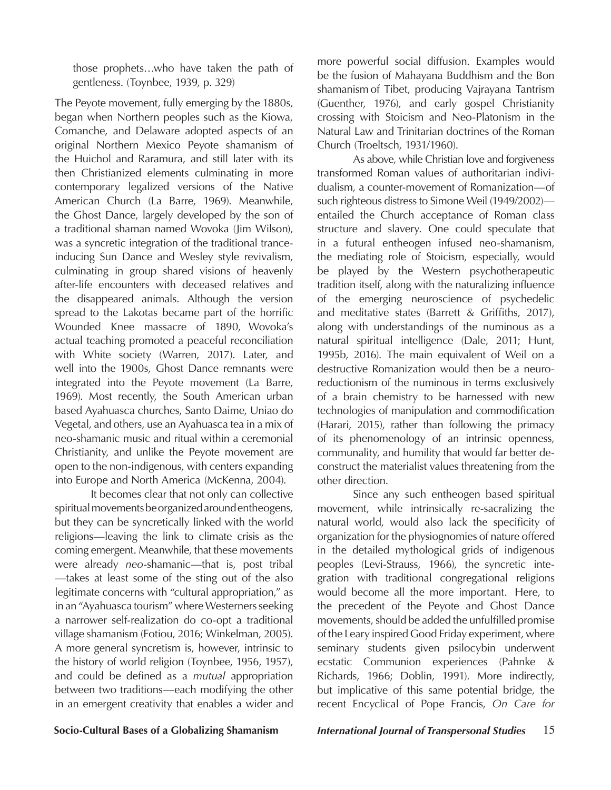those prophets…who have taken the path of gentleness. (Toynbee, 1939, p. 329)

The Peyote movement, fully emerging by the 1880s, began when Northern peoples such as the Kiowa, Comanche, and Delaware adopted aspects of an original Northern Mexico Peyote shamanism of the Huichol and Raramura, and still later with its then Christianized elements culminating in more contemporary legalized versions of the Native American Church (La Barre, 1969). Meanwhile, the Ghost Dance, largely developed by the son of a traditional shaman named Wovoka (Jim Wilson), was a syncretic integration of the traditional tranceinducing Sun Dance and Wesley style revivalism, culminating in group shared visions of heavenly after-life encounters with deceased relatives and the disappeared animals. Although the version spread to the Lakotas became part of the horrific Wounded Knee massacre of 1890, Wovoka's actual teaching promoted a peaceful reconciliation with White society (Warren, 2017). Later, and well into the 1900s, Ghost Dance remnants were integrated into the Peyote movement (La Barre, 1969). Most recently, the South American urban based Ayahuasca churches, Santo Daime, Uniao do Vegetal, and others, use an Ayahuasca tea in a mix of neo-shamanic music and ritual within a ceremonial Christianity, and unlike the Peyote movement are open to the non-indigenous, with centers expanding into Europe and North America (McKenna, 2004).

It becomes clear that not only can collective spiritual movements be organized around entheogens, but they can be syncretically linked with the world religions—leaving the link to climate crisis as the coming emergent. Meanwhile, that these movements were already *neo*-shamanic—that is, post tribal —takes at least some of the sting out of the also legitimate concerns with "cultural appropriation," as in an "Ayahuasca tourism" where Westerners seeking a narrower self-realization do co-opt a traditional village shamanism (Fotiou, 2016; Winkelman, 2005). A more general syncretism is, however, intrinsic to the history of world religion (Toynbee, 1956, 1957), and could be defined as a *mutual* appropriation between two traditions—each modifying the other in an emergent creativity that enables a wider and

more powerful social diffusion. Examples would be the fusion of Mahayana Buddhism and the Bon shamanism of Tibet, producing Vajrayana Tantrism (Guenther, 1976), and early gospel Christianity crossing with Stoicism and Neo-Platonism in the Natural Law and Trinitarian doctrines of the Roman Church (Troeltsch, 1931/1960).

As above, while Christian love and forgiveness transformed Roman values of authoritarian individualism, a counter-movement of Romanization—of such righteous distress to Simone Weil (1949/2002) entailed the Church acceptance of Roman class structure and slavery. One could speculate that in a futural entheogen infused neo-shamanism, the mediating role of Stoicism, especially, would be played by the Western psychotherapeutic tradition itself, along with the naturalizing influence of the emerging neuroscience of psychedelic and meditative states (Barrett & Griffiths, 2017), along with understandings of the numinous as a natural spiritual intelligence (Dale, 2011; Hunt, 1995b, 2016). The main equivalent of Weil on a destructive Romanization would then be a neuroreductionism of the numinous in terms exclusively of a brain chemistry to be harnessed with new technologies of manipulation and commodification (Harari, 2015), rather than following the primacy of its phenomenology of an intrinsic openness, communality, and humility that would far better deconstruct the materialist values threatening from the other direction.

Since any such entheogen based spiritual movement, while intrinsically re-sacralizing the natural world, would also lack the specificity of organization for the physiognomies of nature offered in the detailed mythological grids of indigenous peoples (Levi-Strauss, 1966), the syncretic integration with traditional congregational religions would become all the more important. Here, to the precedent of the Peyote and Ghost Dance movements, should be added the unfulfilled promise of the Leary inspired Good Friday experiment, where seminary students given psilocybin underwent ecstatic Communion experiences (Pahnke & Richards, 1966; Doblin, 1991). More indirectly, but implicative of this same potential bridge, the recent Encyclical of Pope Francis, *On Care for*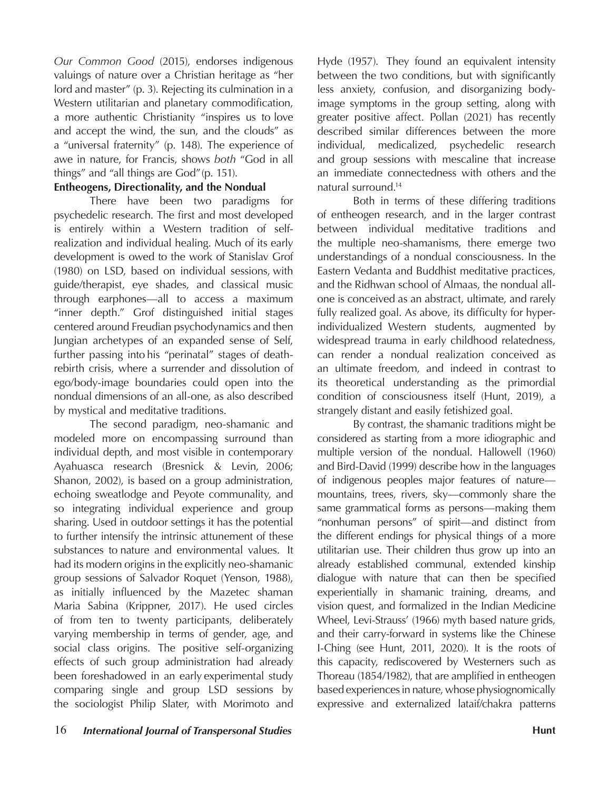*Our Common Good* (2015), endorses indigenous valuings of nature over a Christian heritage as "her lord and master" (p. 3). Rejecting its culmination in a Western utilitarian and planetary commodification, a more authentic Christianity "inspires us to love and accept the wind, the sun, and the clouds" as a "universal fraternity" (p. 148). The experience of awe in nature, for Francis, shows *both* "God in all things" and "all things are God" (p. 151).

### **Entheogens, Directionality, and the Nondual**

There have been two paradigms for psychedelic research. The first and most developed is entirely within a Western tradition of selfrealization and individual healing. Much of its early development is owed to the work of Stanislav Grof (1980) on LSD, based on individual sessions, with guide/therapist, eye shades, and classical music through earphones—all to access a maximum "inner depth." Grof distinguished initial stages centered around Freudian psychodynamics and then Jungian archetypes of an expanded sense of Self, further passing into his "perinatal" stages of deathrebirth crisis, where a surrender and dissolution of ego/body-image boundaries could open into the nondual dimensions of an all-one, as also described by mystical and meditative traditions.

The second paradigm, neo-shamanic and modeled more on encompassing surround than individual depth, and most visible in contemporary Ayahuasca research (Bresnick & Levin, 2006; Shanon, 2002), is based on a group administration, echoing sweatlodge and Peyote communality, and so integrating individual experience and group sharing. Used in outdoor settings it has the potential to further intensify the intrinsic attunement of these substances to nature and environmental values. It had its modern origins in the explicitly neo-shamanic group sessions of Salvador Roquet (Yenson, 1988), as initially influenced by the Mazetec shaman Maria Sabina (Krippner, 2017). He used circles of from ten to twenty participants, deliberately varying membership in terms of gender, age, and social class origins. The positive self-organizing effects of such group administration had already been foreshadowed in an early experimental study comparing single and group LSD sessions by the sociologist Philip Slater, with Morimoto and

Hyde (1957). They found an equivalent intensity between the two conditions, but with significantly less anxiety, confusion, and disorganizing bodyimage symptoms in the group setting, along with greater positive affect. Pollan (2021) has recently described similar differences between the more individual, medicalized, psychedelic research and group sessions with mescaline that increase an immediate connectedness with others and the natural surround.14

Both in terms of these differing traditions of entheogen research, and in the larger contrast between individual meditative traditions and the multiple neo-shamanisms, there emerge two understandings of a nondual consciousness. In the Eastern Vedanta and Buddhist meditative practices, and the Ridhwan school of Almaas, the nondual allone is conceived as an abstract, ultimate, and rarely fully realized goal. As above, its difficulty for hyperindividualized Western students, augmented by widespread trauma in early childhood relatedness, can render a nondual realization conceived as an ultimate freedom, and indeed in contrast to its theoretical understanding as the primordial condition of consciousness itself (Hunt, 2019), a strangely distant and easily fetishized goal.

By contrast, the shamanic traditions might be considered as starting from a more idiographic and multiple version of the nondual. Hallowell (1960) and Bird-David (1999) describe how in the languages of indigenous peoples major features of nature mountains, trees, rivers, sky—commonly share the same grammatical forms as persons—making them "nonhuman persons" of spirit—and distinct from the different endings for physical things of a more utilitarian use. Their children thus grow up into an already established communal, extended kinship dialogue with nature that can then be specified experientially in shamanic training, dreams, and vision quest, and formalized in the Indian Medicine Wheel, Levi-Strauss' (1966) myth based nature grids, and their carry-forward in systems like the Chinese I-Ching (see Hunt, 2011, 2020). It is the roots of this capacity, rediscovered by Westerners such as Thoreau (1854/1982), that are amplified in entheogen based experiences in nature, whose physiognomically expressive and externalized lataif/chakra patterns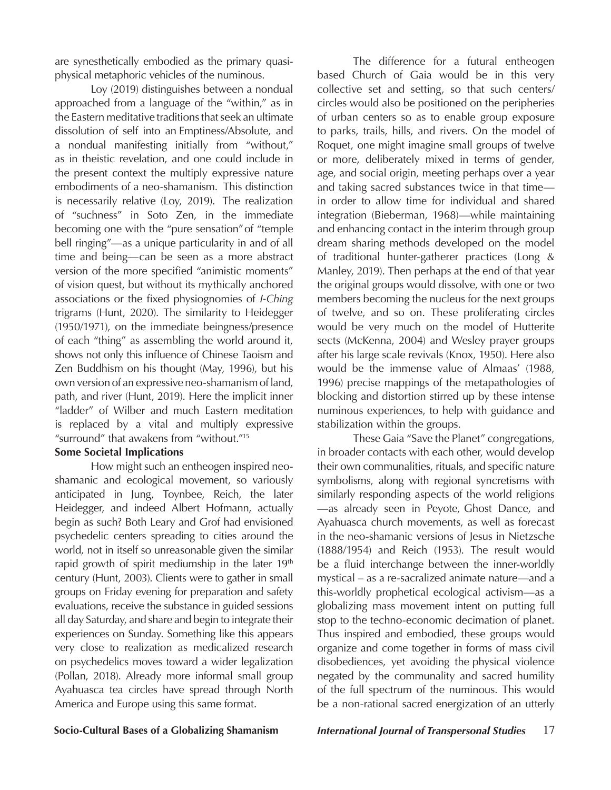are synesthetically embodied as the primary quasiphysical metaphoric vehicles of the numinous.

Loy (2019) distinguishes between a nondual approached from a language of the "within," as in the Eastern meditative traditions that seek an ultimate dissolution of self into an Emptiness/Absolute, and a nondual manifesting initially from "without," as in theistic revelation, and one could include in the present context the multiply expressive nature embodiments of a neo-shamanism. This distinction is necessarily relative (Loy, 2019). The realization of "suchness" in Soto Zen, in the immediate becoming one with the "pure sensation" of "temple bell ringing"—as a unique particularity in and of all time and being—can be seen as a more abstract version of the more specified "animistic moments" of vision quest, but without its mythically anchored associations or the fixed physiognomies of *I-Ching*  trigrams (Hunt, 2020). The similarity to Heidegger (1950/1971), on the immediate beingness/presence of each "thing" as assembling the world around it, shows not only this influence of Chinese Taoism and Zen Buddhism on his thought (May, 1996), but his own version of an expressive neo-shamanism of land, path, and river (Hunt, 2019). Here the implicit inner "ladder" of Wilber and much Eastern meditation is replaced by a vital and multiply expressive "surround" that awakens from "without."15

### **Some Societal Implications**

How might such an entheogen inspired neoshamanic and ecological movement, so variously anticipated in Jung, Toynbee, Reich, the later Heidegger, and indeed Albert Hofmann, actually begin as such? Both Leary and Grof had envisioned psychedelic centers spreading to cities around the world, not in itself so unreasonable given the similar rapid growth of spirit mediumship in the later 19<sup>th</sup> century (Hunt, 2003). Clients were to gather in small groups on Friday evening for preparation and safety evaluations, receive the substance in guided sessions all day Saturday, and share and begin to integrate their experiences on Sunday. Something like this appears very close to realization as medicalized research on psychedelics moves toward a wider legalization (Pollan, 2018). Already more informal small group Ayahuasca tea circles have spread through North America and Europe using this same format.

The difference for a futural entheogen based Church of Gaia would be in this very collective set and setting, so that such centers/ circles would also be positioned on the peripheries of urban centers so as to enable group exposure to parks, trails, hills, and rivers. On the model of Roquet, one might imagine small groups of twelve or more, deliberately mixed in terms of gender, age, and social origin, meeting perhaps over a year and taking sacred substances twice in that time in order to allow time for individual and shared integration (Bieberman, 1968)—while maintaining and enhancing contact in the interim through group dream sharing methods developed on the model of traditional hunter-gatherer practices (Long & Manley, 2019). Then perhaps at the end of that year the original groups would dissolve, with one or two members becoming the nucleus for the next groups of twelve, and so on. These proliferating circles would be very much on the model of Hutterite sects (McKenna, 2004) and Wesley prayer groups after his large scale revivals (Knox, 1950). Here also would be the immense value of Almaas' (1988, 1996) precise mappings of the metapathologies of blocking and distortion stirred up by these intense numinous experiences, to help with guidance and stabilization within the groups.

These Gaia "Save the Planet" congregations, in broader contacts with each other, would develop their own communalities, rituals, and specific nature symbolisms, along with regional syncretisms with similarly responding aspects of the world religions —as already seen in Peyote, Ghost Dance, and Ayahuasca church movements, as well as forecast in the neo-shamanic versions of Jesus in Nietzsche (1888/1954) and Reich (1953). The result would be a fluid interchange between the inner-worldly mystical – as a re-sacralized animate nature—and a this-worldly prophetical ecological activism—as a globalizing mass movement intent on putting full stop to the techno-economic decimation of planet. Thus inspired and embodied, these groups would organize and come together in forms of mass civil disobediences, yet avoiding the physical violence negated by the communality and sacred humility of the full spectrum of the numinous. This would be a non-rational sacred energization of an utterly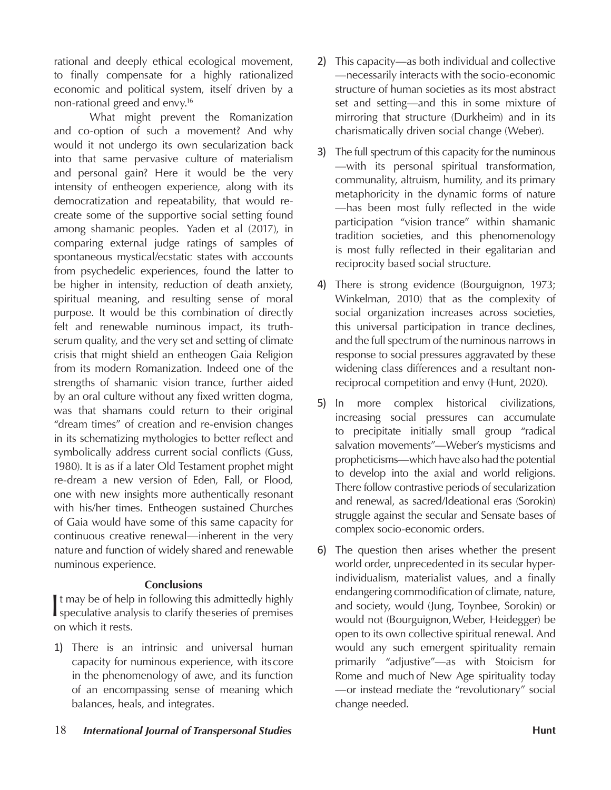rational and deeply ethical ecological movement, to finally compensate for a highly rationalized economic and political system, itself driven by a non-rational greed and envy.16

What might prevent the Romanization and co-option of such a movement? And why would it not undergo its own secularization back into that same pervasive culture of materialism and personal gain? Here it would be the very intensity of entheogen experience, along with its democratization and repeatability, that would recreate some of the supportive social setting found among shamanic peoples. Yaden et al (2017), in comparing external judge ratings of samples of spontaneous mystical/ecstatic states with accounts from psychedelic experiences, found the latter to be higher in intensity, reduction of death anxiety, spiritual meaning, and resulting sense of moral purpose. It would be this combination of directly felt and renewable numinous impact, its truthserum quality, and the very set and setting of climate crisis that might shield an entheogen Gaia Religion from its modern Romanization. Indeed one of the strengths of shamanic vision trance, further aided by an oral culture without any fixed written dogma, was that shamans could return to their original "dream times" of creation and re-envision changes in its schematizing mythologies to better reflect and symbolically address current social conflicts (Guss, 1980). It is as if a later Old Testament prophet might re-dream a new version of Eden, Fall, or Flood, one with new insights more authentically resonant with his/her times. Entheogen sustained Churches of Gaia would have some of this same capacity for continuous creative renewal—inherent in the very nature and function of widely shared and renewable numinous experience.

### **Conclusions**

It may be of help in following this admittedly highly<br>speculative analysis to clarify theseries of premises speculative analysis to clarify the series of premises on which it rests.

1) There is an intrinsic and universal human capacity for numinous experience, with its core in the phenomenology of awe, and its function of an encompassing sense of meaning which balances, heals, and integrates.

- 2) This capacity—as both individual and collective —necessarily interacts with the socio-economic structure of human societies as its most abstract set and setting—and this in some mixture of mirroring that structure (Durkheim) and in its charismatically driven social change (Weber).
- 3) The full spectrum of this capacity for the numinous —with its personal spiritual transformation, communality, altruism, humility, and its primary metaphoricity in the dynamic forms of nature —has been most fully reflected in the wide participation "vision trance" within shamanic tradition societies, and this phenomenology is most fully reflected in their egalitarian and reciprocity based social structure.
- 4) There is strong evidence (Bourguignon, 1973; Winkelman, 2010) that as the complexity of social organization increases across societies, this universal participation in trance declines, and the full spectrum of the numinous narrows in response to social pressures aggravated by these widening class differences and a resultant nonreciprocal competition and envy (Hunt, 2020).
- 5) In more complex historical civilizations, increasing social pressures can accumulate to precipitate initially small group "radical salvation movements"—Weber's mysticisms and propheticisms—which have also had the potential to develop into the axial and world religions. There follow contrastive periods of secularization and renewal, as sacred/Ideational eras (Sorokin) struggle against the secular and Sensate bases of complex socio-economic orders.
- 6) The question then arises whether the present world order, unprecedented in its secular hyperindividualism, materialist values, and a finally endangering commodification of climate, nature, and society, would (Jung, Toynbee, Sorokin) or would not (Bourguignon, Weber, Heidegger) be open to its own collective spiritual renewal. And would any such emergent spirituality remain primarily "adjustive"—as with Stoicism for Rome and much of New Age spirituality today —or instead mediate the "revolutionary" social change needed.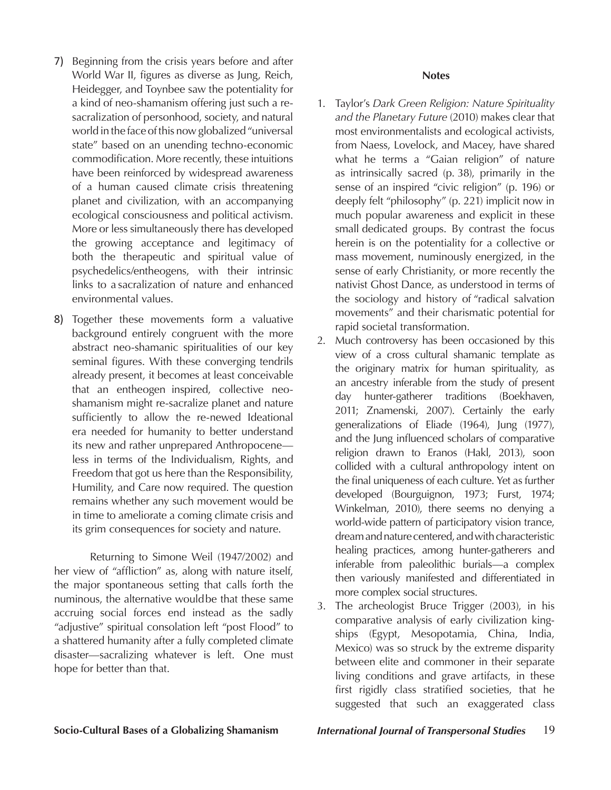- 7) Beginning from the crisis years before and after World War II, figures as diverse as Jung, Reich, Heidegger, and Toynbee saw the potentiality for a kind of neo-shamanism offering just such a resacralization of personhood, society, and natural world in the face of this now globalized "universal state" based on an unending techno-economic commodification. More recently, these intuitions have been reinforced by widespread awareness of a human caused climate crisis threatening planet and civilization, with an accompanying ecological consciousness and political activism. More or less simultaneously there has developed the growing acceptance and legitimacy of both the therapeutic and spiritual value of psychedelics/entheogens, with their intrinsic links to a sacralization of nature and enhanced environmental values.
- 8) Together these movements form a valuative background entirely congruent with the more abstract neo-shamanic spiritualities of our key seminal figures. With these converging tendrils already present, it becomes at least conceivable that an entheogen inspired, collective neoshamanism might re-sacralize planet and nature sufficiently to allow the re-newed Ideational era needed for humanity to better understand its new and rather unprepared Anthropocene less in terms of the Individualism, Rights, and Freedom that got us here than the Responsibility, Humility, and Care now required. The question remains whether any such movement would be in time to ameliorate a coming climate crisis and its grim consequences for society and nature.

Returning to Simone Weil (1947/2002) and her view of "affliction" as, along with nature itself, the major spontaneous setting that calls forth the numinous, the alternative would be that these same accruing social forces end instead as the sadly "adjustive" spiritual consolation left "post Flood" to a shattered humanity after a fully completed climate disaster—sacralizing whatever is left. One must hope for better than that.

### **Notes**

- 1. Taylor's *Dark Green Religion: Nature Spirituality and the Planetary Future* (2010) makes clear that most environmentalists and ecological activists, from Naess, Lovelock, and Macey, have shared what he terms a "Gaian religion" of nature as intrinsically sacred (p. 38), primarily in the sense of an inspired "civic religion" (p. 196) or deeply felt "philosophy" (p. 221) implicit now in much popular awareness and explicit in these small dedicated groups. By contrast the focus herein is on the potentiality for a collective or mass movement, numinously energized, in the sense of early Christianity, or more recently the nativist Ghost Dance, as understood in terms of the sociology and history of "radical salvation movements" and their charismatic potential for rapid societal transformation.
- 2. Much controversy has been occasioned by this view of a cross cultural shamanic template as the originary matrix for human spirituality, as an ancestry inferable from the study of present day hunter-gatherer traditions (Boekhaven, 2011; Znamenski, 2007). Certainly the early generalizations of Eliade (1964), Jung (1977), and the Jung influenced scholars of comparative religion drawn to Eranos (Hakl, 2013), soon collided with a cultural anthropology intent on the final uniqueness of each culture. Yet as further developed (Bourguignon, 1973; Furst, 1974; Winkelman, 2010), there seems no denying a world-wide pattern of participatory vision trance, dream and nature centered, and with characteristic healing practices, among hunter-gatherers and inferable from paleolithic burials—a complex then variously manifested and differentiated in more complex social structures.
- 3. The archeologist Bruce Trigger (2003), in his comparative analysis of early civilization kingships (Egypt, Mesopotamia, China, India, Mexico) was so struck by the extreme disparity between elite and commoner in their separate living conditions and grave artifacts, in these first rigidly class stratified societies, that he suggested that such an exaggerated class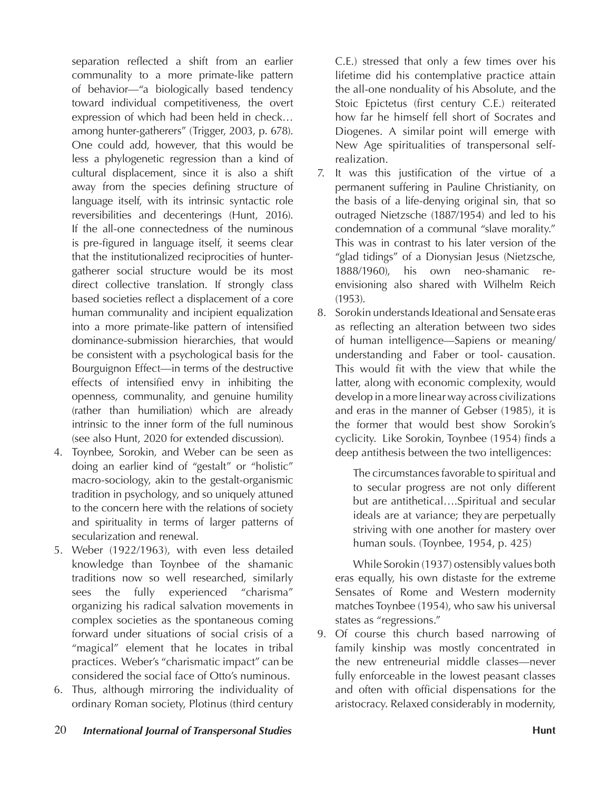separation reflected a shift from an earlier communality to a more primate-like pattern of behavior—"a biologically based tendency toward individual competitiveness, the overt expression of which had been held in check… among hunter-gatherers" (Trigger, 2003, p. 678). One could add, however, that this would be less a phylogenetic regression than a kind of cultural displacement, since it is also a shift away from the species defining structure of language itself, with its intrinsic syntactic role reversibilities and decenterings (Hunt, 2016). If the all-one connectedness of the numinous is pre-figured in language itself, it seems clear that the institutionalized reciprocities of huntergatherer social structure would be its most direct collective translation. If strongly class based societies reflect a displacement of a core human communality and incipient equalization into a more primate-like pattern of intensified dominance-submission hierarchies, that would be consistent with a psychological basis for the Bourguignon Effect—in terms of the destructive effects of intensified envy in inhibiting the openness, communality, and genuine humility (rather than humiliation) which are already intrinsic to the inner form of the full numinous (see also Hunt, 2020 for extended discussion).

- 4. Toynbee, Sorokin, and Weber can be seen as doing an earlier kind of "gestalt" or "holistic" macro-sociology, akin to the gestalt-organismic tradition in psychology, and so uniquely attuned to the concern here with the relations of society and spirituality in terms of larger patterns of secularization and renewal.
- 5. Weber (1922/1963), with even less detailed knowledge than Toynbee of the shamanic traditions now so well researched, similarly sees the fully experienced "charisma" organizing his radical salvation movements in complex societies as the spontaneous coming forward under situations of social crisis of a "magical" element that he locates in tribal practices. Weber's "charismatic impact" can be considered the social face of Otto's numinous.
- 6. Thus, although mirroring the individuality of ordinary Roman society, Plotinus (third century

C.E.) stressed that only a few times over his lifetime did his contemplative practice attain the all-one nonduality of his Absolute, and the Stoic Epictetus (first century C.E.) reiterated how far he himself fell short of Socrates and Diogenes. A similar point will emerge with New Age spiritualities of transpersonal selfrealization.

- 7. It was this justification of the virtue of a permanent suffering in Pauline Christianity, on the basis of a life-denying original sin, that so outraged Nietzsche (1887/1954) and led to his condemnation of a communal "slave morality." This was in contrast to his later version of the "glad tidings" of a Dionysian Jesus (Nietzsche, 1888/1960), his own neo-shamanic reenvisioning also shared with Wilhelm Reich (1953).
- 8. Sorokin understands Ideational and Sensate eras as reflecting an alteration between two sides of human intelligence—Sapiens or meaning/ understanding and Faber or tool- causation. This would fit with the view that while the latter, along with economic complexity, would develop in a more linear way across civilizations and eras in the manner of Gebser (1985), it is the former that would best show Sorokin's cyclicity. Like Sorokin, Toynbee (1954) finds a deep antithesis between the two intelligences:

The circumstances favorable to spiritual and to secular progress are not only different but are antithetical….Spiritual and secular ideals are at variance; they are perpetually striving with one another for mastery over human souls. (Toynbee, 1954, p. 425)

While Sorokin (1937) ostensibly values both eras equally, his own distaste for the extreme Sensates of Rome and Western modernity matches Toynbee (1954), who saw his universal states as "regressions."

9. Of course this church based narrowing of family kinship was mostly concentrated in the new entreneurial middle classes—never fully enforceable in the lowest peasant classes and often with official dispensations for the aristocracy. Relaxed considerably in modernity,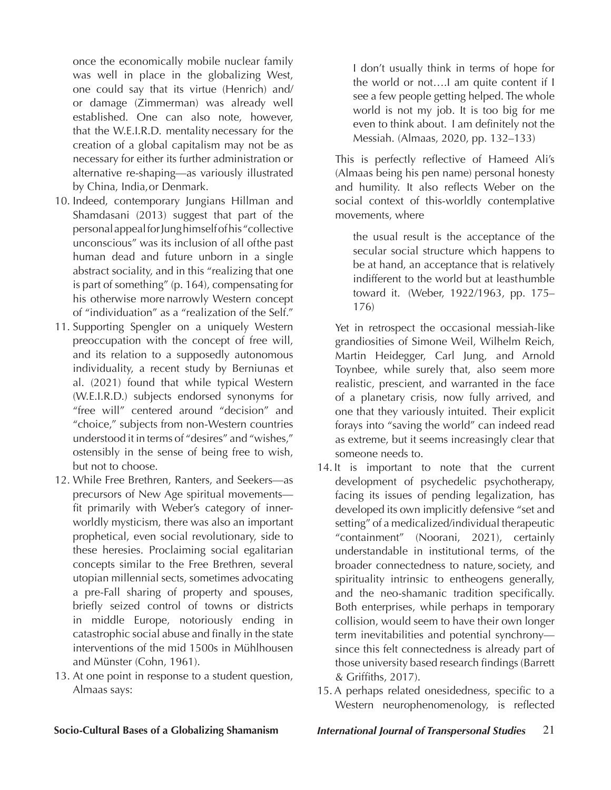once the economically mobile nuclear family was well in place in the globalizing West, one could say that its virtue (Henrich) and/ or damage (Zimmerman) was already well established. One can also note, however, that the W.E.I.R.D. mentality necessary for the creation of a global capitalism may not be as necessary for either its further administration or alternative re-shaping—as variously illustrated by China, India, or Denmark.

- 10. Indeed, contemporary Jungians Hillman and Shamdasani (2013) suggest that part of the personal appeal for Jung himself of his "collective unconscious" was its inclusion of all of the past human dead and future unborn in a single abstract sociality, and in this "realizing that one is part of something" (p. 164), compensating for his otherwise more narrowly Western concept of "individuation" as a "realization of the Self."
- 11. Supporting Spengler on a uniquely Western preoccupation with the concept of free will, and its relation to a supposedly autonomous individuality, a recent study by Berniunas et al. (2021) found that while typical Western (W.E.I.R.D.) subjects endorsed synonyms for "free will" centered around "decision" and "choice," subjects from non-Western countries understood it in terms of "desires" and "wishes," ostensibly in the sense of being free to wish, but not to choose.
- 12. While Free Brethren, Ranters, and Seekers—as precursors of New Age spiritual movements fit primarily with Weber's category of innerworldly mysticism, there was also an important prophetical, even social revolutionary, side to these heresies. Proclaiming social egalitarian concepts similar to the Free Brethren, several utopian millennial sects, sometimes advocating a pre-Fall sharing of property and spouses, briefly seized control of towns or districts in middle Europe, notoriously ending in catastrophic social abuse and finally in the state interventions of the mid 1500s in Mühlhousen and Münster (Cohn, 1961).
- 13. At one point in response to a student question, Almaas says:

I don't usually think in terms of hope for the world or not….I am quite content if I see a few people getting helped. The whole world is not my job. It is too big for me even to think about. I am definitely not the Messiah. (Almaas, 2020, pp. 132–133)

This is perfectly reflective of Hameed Ali's (Almaas being his pen name) personal honesty and humility. It also reflects Weber on the social context of this-worldly contemplative movements, where

the usual result is the acceptance of the secular social structure which happens to be at hand, an acceptance that is relatively indifferent to the world but at least humble toward it. (Weber, 1922/1963, pp. 175– 176)

Yet in retrospect the occasional messiah-like grandiosities of Simone Weil, Wilhelm Reich, Martin Heidegger, Carl Jung, and Arnold Toynbee, while surely that, also seem more realistic, prescient, and warranted in the face of a planetary crisis, now fully arrived, and one that they variously intuited. Their explicit forays into "saving the world" can indeed read as extreme, but it seems increasingly clear that someone needs to.

- 14. It is important to note that the current development of psychedelic psychotherapy, facing its issues of pending legalization, has developed its own implicitly defensive "set and setting" of a medicalized/individual therapeutic "containment" (Noorani, 2021), certainly understandable in institutional terms, of the broader connectedness to nature, society, and spirituality intrinsic to entheogens generally, and the neo-shamanic tradition specifically. Both enterprises, while perhaps in temporary collision, would seem to have their own longer term inevitabilities and potential synchrony since this felt connectedness is already part of those university based research findings (Barrett & Griffiths, 2017).
- 15.  A perhaps related onesidedness, specific to a Western neurophenomenology, is reflected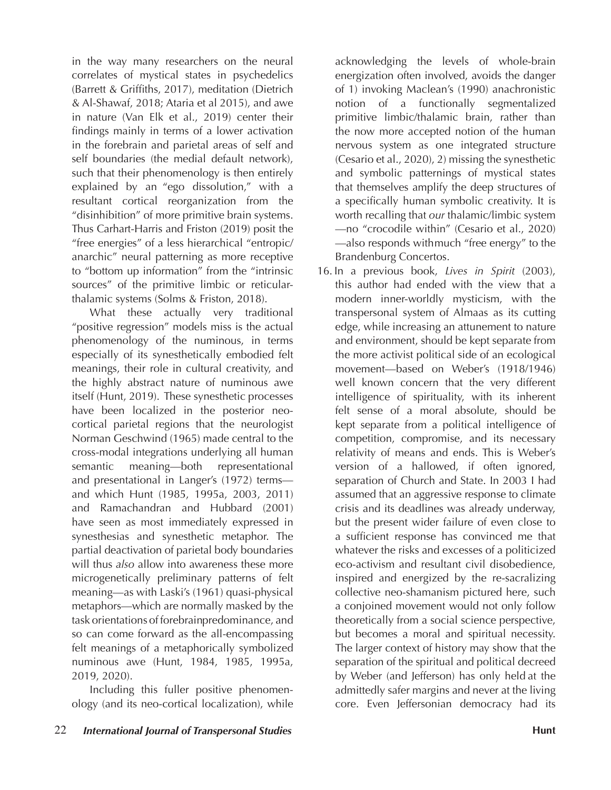in the way many researchers on the neural correlates of mystical states in psychedelics (Barrett & Griffiths, 2017), meditation (Dietrich & Al-Shawaf, 2018; Ataria et al 2015), and awe in nature (Van Elk et al., 2019) center their findings mainly in terms of a lower activation in the forebrain and parietal areas of self and self boundaries (the medial default network), such that their phenomenology is then entirely explained by an "ego dissolution," with a resultant cortical reorganization from the "disinhibition" of more primitive brain systems. Thus Carhart-Harris and Friston (2019) posit the "free energies" of a less hierarchical "entropic/ anarchic" neural patterning as more receptive to "bottom up information" from the "intrinsic sources" of the primitive limbic or reticularthalamic systems (Solms & Friston, 2018).

 What these actually very traditional "positive regression" models miss is the actual phenomenology of the numinous, in terms especially of its synesthetically embodied felt meanings, their role in cultural creativity, and the highly abstract nature of numinous awe itself (Hunt, 2019). These synesthetic processes have been localized in the posterior neocortical parietal regions that the neurologist Norman Geschwind (1965) made central to the cross-modal integrations underlying all human semantic meaning—both representational and presentational in Langer's (1972) terms and which Hunt (1985, 1995a, 2003, 2011) and Ramachandran and Hubbard (2001) have seen as most immediately expressed in synesthesias and synesthetic metaphor. The partial deactivation of parietal body boundaries will thus *also* allow into awareness these more microgenetically preliminary patterns of felt meaning—as with Laski's (1961) quasi-physical metaphors—which are normally masked by the task orientations of forebrain predominance, and so can come forward as the all-encompassing felt meanings of a metaphorically symbolized numinous awe (Hunt, 1984, 1985, 1995a, 2019, 2020).

 Including this fuller positive phenomenology (and its neo-cortical localization), while

22 *International Journal of Transpersonal Studies* **Hunt**

acknowledging the levels of whole-brain energization often involved, avoids the danger of 1) invoking Maclean's (1990) anachronistic notion of a functionally segmentalized primitive limbic/thalamic brain, rather than the now more accepted notion of the human nervous system as one integrated structure (Cesario et al., 2020), 2) missing the synesthetic and symbolic patternings of mystical states that themselves amplify the deep structures of a specifically human symbolic creativity. It is worth recalling that *our* thalamic/limbic system —no "crocodile within" (Cesario et al., 2020) —also responds with much "free energy" to the Brandenburg Concertos.

16. In a previous book, *Lives in Spirit* (2003), this author had ended with the view that a modern inner-worldly mysticism, with the transpersonal system of Almaas as its cutting edge, while increasing an attunement to nature and environment, should be kept separate from the more activist political side of an ecological movement—based on Weber's (1918/1946) well known concern that the very different intelligence of spirituality, with its inherent felt sense of a moral absolute, should be kept separate from a political intelligence of competition, compromise, and its necessary relativity of means and ends. This is Weber's version of a hallowed, if often ignored, separation of Church and State. In 2003 I had assumed that an aggressive response to climate crisis and its deadlines was already underway, but the present wider failure of even close to a sufficient response has convinced me that whatever the risks and excesses of a politicized eco-activism and resultant civil disobedience, inspired and energized by the re-sacralizing collective neo-shamanism pictured here, such a conjoined movement would not only follow theoretically from a social science perspective, but becomes a moral and spiritual necessity. The larger context of history may show that the separation of the spiritual and political decreed by Weber (and Jefferson) has only held at the admittedly safer margins and never at the living core. Even Jeffersonian democracy had its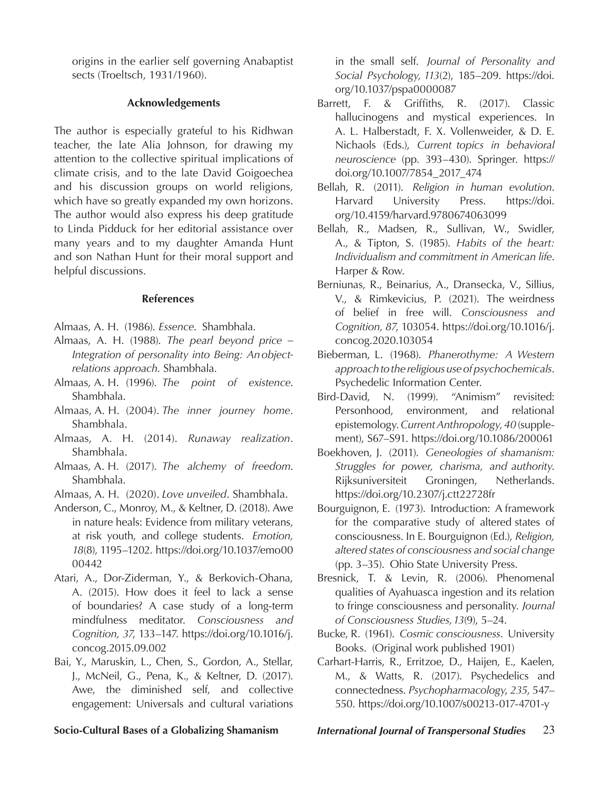origins in the earlier self governing Anabaptist sects (Troeltsch, 1931/1960).

### **Acknowledgements**

The author is especially grateful to his Ridhwan teacher, the late Alia Johnson, for drawing my attention to the collective spiritual implications of climate crisis, and to the late David Goigoechea and his discussion groups on world religions, which have so greatly expanded my own horizons. The author would also express his deep gratitude to Linda Pidduck for her editorial assistance over many years and to my daughter Amanda Hunt and son Nathan Hunt for their moral support and helpful discussions.

### **References**

- Almaas, A. H. (1986). *Essence*. Shambhala.
- Almaas, A. H. (1988). *The pearl beyond price Integration of personality into Being: An objectrelations approach*. Shambhala.
- Almaas, A. H. (1996). *The point of existence*. Shambhala.
- Almaas, A. H. (2004). *The inner journey home*. Shambhala.
- Almaas, A. H. (2014). *Runaway realization*. Shambhala.
- Almaas, A. H. (2017). *The alchemy of freedom*. Shambhala.
- Almaas, A. H. (2020). *Love unveiled*. Shambhala.
- Anderson, C., Monroy, M., & Keltner, D. (2018). Awe in nature heals: Evidence from military veterans, at risk youth, and college students. *Emotion, 18*(8), 1195–1202. https://doi.org/10.1037/emo00 00442
- Atari, A., Dor-Ziderman, Y., & Berkovich-Ohana, A. (2015). How does it feel to lack a sense of boundaries? A case study of a long-term mindfulness meditator. *Consciousness and Cognition, 37*, 133–147. https://doi.org/10.1016/j. concog.2015.09.002
- Bai, Y., Maruskin, L., Chen, S., Gordon, A., Stellar, J., McNeil, G., Pena, K., & Keltner, D. (2017). Awe, the diminished self, and collective engagement: Universals and cultural variations

in the small self. *Journal of Personality and Social Psychology, 113*(2), 185–209. https://doi. org/10.1037/pspa0000087

- Barrett, F. & Griffiths, R. (2017). Classic hallucinogens and mystical experiences. In A. L. Halberstadt, F. X. Vollenweider, & D. E. Nichaols (Eds.), *Current topics in behavioral neuroscience* (pp. 393–430). Springer. https:// doi.org/10.1007/7854\_2017\_474
- Bellah, R. (2011). *Religion in human evolution*. Harvard University Press. https://doi. org/10.4159/harvard.9780674063099
- Bellah, R., Madsen, R., Sullivan, W., Swidler, A., & Tipton, S. (1985). *Habits of the heart: Individualism and commitment in American life*. Harper & Row.
- Berniunas, R., Beinarius, A., Dransecka, V., Sillius, V., & Rimkevicius, P. (2021). The weirdness of belief in free will. *Consciousness and Cognition, 87*, 103054. https://doi.org/10.1016/j. concog.2020.103054
- Bieberman, L. (1968). *Phanerothyme: A Western approach to the religious use of psychochemicals*. Psychedelic Information Center.
- Bird-David, N. (1999). "Animism" revisited: Personhood, environment, and relational epistemology. *Current Anthropology, 40* (supplement), S67–S91. https://doi.org/10.1086/200061
- Boekhoven, J. (2011). *Geneologies of shamanism: Struggles for power, charisma, and authority*. Rijksuniversiteit Groningen, Netherlands. https://doi.org/10.2307/j.ctt22728fr
- Bourguignon, E. (1973). Introduction: A framework for the comparative study of altered states of consciousness. In E. Bourguignon (Ed.), *Religion, altered states of consciousness and social change*  (pp. 3–35). Ohio State University Press.
- Bresnick, T. & Levin, R. (2006). Phenomenal qualities of Ayahuasca ingestion and its relation to fringe consciousness and personality. *Journal of Consciousness Studies, 13*(9), 5–24.
- Bucke, R. (1961). *Cosmic consciousness*. University Books. (Original work published 1901)
- Carhart-Harris, R., Erritzoe, D., Haijen, E., Kaelen, M., & Watts, R. (2017). Psychedelics and connectedness. *Psychopharmacology*, *235*, 547– 550. https://doi.org/10.1007/s00213-017-4701-y

**Socio-Cultural Bases of a Globalizing Shamanism** *International Journal of Transpersonal Studies* 23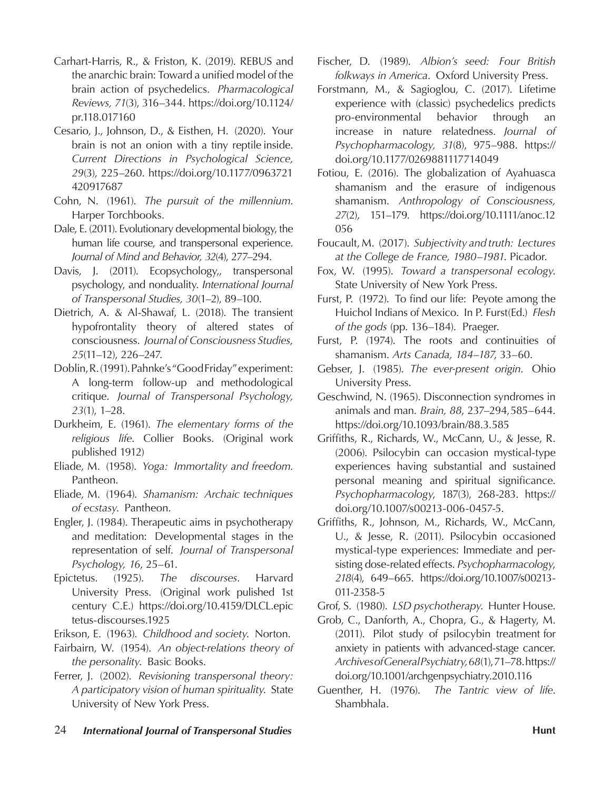- Carhart-Harris, R., & Friston, K. (2019). REBUS and the anarchic brain: Toward a unified model of the brain action of psychedelics. *Pharmacological Reviews, 71*(3), 316–344. https://doi.org/10.1124/ pr.118.017160
- Cesario, J., Johnson, D., & Eisthen, H. (2020). Your brain is not an onion with a tiny reptile inside. *Current Directions in Psychological Science, 29*(3), 225–260. https://doi.org/10.1177/0963721 420917687
- Cohn, N. (1961). *The pursuit of the millennium*. Harper Torchbooks.
- Dale, E. (2011). Evolutionary developmental biology, the human life course, and transpersonal experience. *Journal of Mind and Behavior, 32*(4), 277–294.
- Davis, J. (2011). Ecopsychology,, transpersonal psychology, and nonduality. *International Journal of Transpersonal Studies, 30*(1–2), 89–100.
- Dietrich, A. & Al-Shawaf, L. (2018). The transient hypofrontality theory of altered states of consciousness. *Journal of Consciousness Studies, 25*(11–12), 226–247.
- Doblin, R. (1991). Pahnke's "Good Friday" experiment: A long-term follow-up and methodological critique. *Journal of Transpersonal Psychology, 23*(1), 1–28.
- Durkheim, E. (1961). *The elementary forms of the religious life*. Collier Books. (Original work published 1912)
- Eliade, M. (1958). *Yoga: Immortality and freedom*. Pantheon.
- Eliade, M. (1964). *Shamanism: Archaic techniques of ecstasy*. Pantheon.
- Engler, J. (1984). Therapeutic aims in psychotherapy and meditation: Developmental stages in the representation of self. *Journal of Transpersonal Psychology, 16*, 25–61.
- Epictetus. (1925). *The discourses*. Harvard University Press. (Original work pulished 1st century C.E.) https://doi.org/10.4159/DLCL.epic tetus-discourses.1925

Erikson, E. (1963). *Childhood and society*. Norton.

- Fairbairn, W. (1954). *An object-relations theory of the personality*. Basic Books.
- Ferrer, J. (2002). *Revisioning transpersonal theory: A participatory vision of human spirituality*. State University of New York Press.
- Fischer, D. (1989). *Albion's seed: Four British folkways in America*. Oxford University Press.
- Forstmann, M., & Sagioglou, C. (2017). Lifetime experience with (classic) psychedelics predicts pro-environmental behavior through an increase in nature relatedness. *Journal of Psychopharmacology, 31*(8), 975–988. https:// doi.org/10.1177/0269881117714049
- Fotiou, E. (2016). The globalization of Ayahuasca shamanism and the erasure of indigenous shamanism. *Anthropology of Consciousness, 27*(2), 151–179. https://doi.org/10.1111/anoc.12 056
- Foucault, M. (2017). *Subjectivity and truth: Lectures at the College de France, 1980*–*1981*. Picador.
- Fox, W. (1995). *Toward a transpersonal ecology*. State University of New York Press.
- Furst, P. (1972). To find our life: Peyote among the Huichol Indians of Mexico. In P. Furst (Ed.) *Flesh of the gods* (pp. 136–184). Praeger.
- Furst, P. (1974). The roots and continuities of shamanism. *Arts Canada, 184*–*187*, 33–60.
- Gebser, J. (1985). *The ever-present origin*. Ohio University Press.
- Geschwind, N. (1965). Disconnection syndromes in animals and man. *Brain, 88*, 237–294, 585–644. https://doi.org/10.1093/brain/88.3.585
- Griffiths, R., Richards, W., McCann, U., & Jesse, R. (2006). Psilocybin can occasion mystical-type experiences having substantial and sustained personal meaning and spiritual significance. *Psychopharmacology*, 187(3), 268-283. https:// doi.org/10.1007/s00213-006-0457-5.
- Griffiths, R., Johnson, M., Richards, W., McCann, U., & Jesse, R. (2011). Psilocybin occasioned mystical-type experiences: Immediate and persisting dose-related effects. *Psychopharmacology*, *218*(4), 649–665. https://doi.org/10.1007/s00213- 011-2358-5

Grof, S. (1980). *LSD psychotherapy*. Hunter House.

- Grob, C., Danforth, A., Chopra, G., & Hagerty, M. (2011). Pilot study of psilocybin treatment for anxiety in patients with advanced-stage cancer. *Archives of General Psychiatry, 68*(1), 71–78. https:// doi.org/10.1001/archgenpsychiatry.2010.116
- Guenther, H. (1976). *The Tantric view of life*. Shambhala.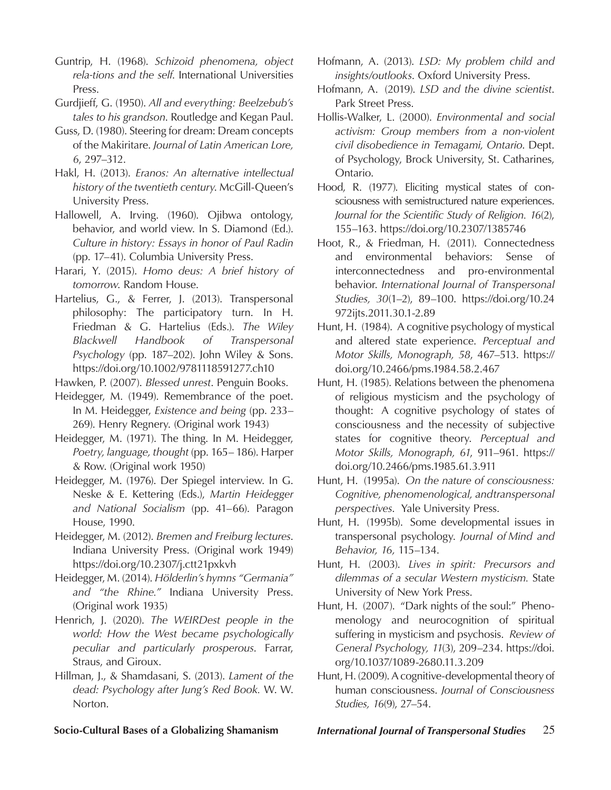Guntrip, H. (1968). *Schizoid phenomena, object rela-tions and the self*. International Universities Press.

- Gurdjieff, G. (1950). *All and everything: Beelzebub's tales to his grandson*. Routledge and Kegan Paul.
- Guss, D. (1980). Steering for dream: Dream concepts of the Makiritare. *Journal of Latin American Lore, 6*, 297–312.
- Hakl, H. (2013). *Eranos: An alternative intellectual history of the twentieth century*. McGill-Queen's University Press.
- Hallowell, A. Irving. (1960). Ojibwa ontology, behavior, and world view. In S. Diamond (Ed.). *Culture in history: Essays in honor of Paul Radin*  (pp. 17–41). Columbia University Press.
- Harari, Y. (2015). *Homo deus: A brief history of tomorrow*. Random House.
- Hartelius, G., & Ferrer, J. (2013). Transpersonal philosophy: The participatory turn. In H. Friedman & G. Hartelius (Eds.). *The Wiley Blackwell Handbook of Transpersonal Psychology* (pp. 187–202). John Wiley & Sons. https://doi.org/10.1002/9781118591277.ch10

Hawken, P. (2007). *Blessed unrest*. Penguin Books.

- Heidegger, M. (1949). Remembrance of the poet. In M. Heidegger, *Existence and being* (pp. 233– 269). Henry Regnery. (Original work 1943)
- Heidegger, M. (1971). The thing. In M. Heidegger, *Poetry, language, thought* (pp. 165– 186). Harper & Row. (Original work 1950)
- Heidegger, M. (1976). Der Spiegel interview. In G. Neske & E. Kettering (Eds.), *Martin Heidegger and National Socialism* (pp. 41–66). Paragon House, 1990.
- Heidegger, M. (2012). *Bremen and Freiburg lectures*. Indiana University Press. (Original work 1949) https://doi.org/10.2307/j.ctt21pxkvh
- Heidegger, M. (2014). *Hölderlin's hymns "Germania" and "the Rhine."* Indiana University Press. (Original work 1935)
- Henrich, J. (2020). *The WEIRDest people in the world: How the West became psychologically peculiar and particularly prosperous*. Farrar, Straus, and Giroux.
- Hillman, J., & Shamdasani, S. (2013). *Lament of the dead: Psychology after Jung's Red Book.* W. W. Norton.
- Hofmann, A. (2013). *LSD: My problem child and insights/outlooks*. Oxford University Press.
- Hofmann, A. (2019). *LSD and the divine scientist*. Park Street Press.
- Hollis-Walker, L. (2000). *Environmental and social activism: Group members from a non-violent civil disobedience in Temagami, Ontario*. Dept. of Psychology, Brock University, St. Catharines, Ontario.
- Hood, R. (1977). Eliciting mystical states of consciousness with semistructured nature experiences. *Journal for the Scientific Study of Religion. 16*(2), 155–163. https://doi.org/10.2307/1385746
- Hoot, R., & Friedman, H. (2011). Connectedness and environmental behaviors: Sense of interconnectedness and pro-environmental behavior. *International Journal of Transpersonal Studies, 30*(1–2), 89–100. https://doi.org/10.24 972ijts.2011.30.1-2.89
- Hunt, H. (1984). A cognitive psychology of mystical and altered state experience. *Perceptual and Motor Skills, Monograph, 58*, 467–513. https:// doi.org/10.2466/pms.1984.58.2.467
- Hunt, H. (1985). Relations between the phenomena of religious mysticism and the psychology of thought: A cognitive psychology of states of consciousness and the necessity of subjective states for cognitive theory. *Perceptual and Motor Skills, Monograph, 61*, 911–961. https:// doi.org/10.2466/pms.1985.61.3.911
- Hunt, H. (1995a). *On the nature of consciousness: Cognitive, phenomenological, and transpersonal perspectives*. Yale University Press.
- Hunt, H. (1995b). Some developmental issues in transpersonal psychology. *Journal of Mind and Behavior, 16,* 115–134.
- Hunt, H. (2003). *Lives in spirit: Precursors and dilemmas of a secular Western mysticism.* State University of New York Press.
- Hunt, H. (2007). "Dark nights of the soul:" Phenomenology and neurocognition of spiritual suffering in mysticism and psychosis. *Review of General Psychology, 11*(3), 209–234. https://doi. org/10.1037/1089-2680.11.3.209
- Hunt, H. (2009). A cognitive-developmental theory of human consciousness. *Journal of Consciousness Studies, 16*(9), 27–54.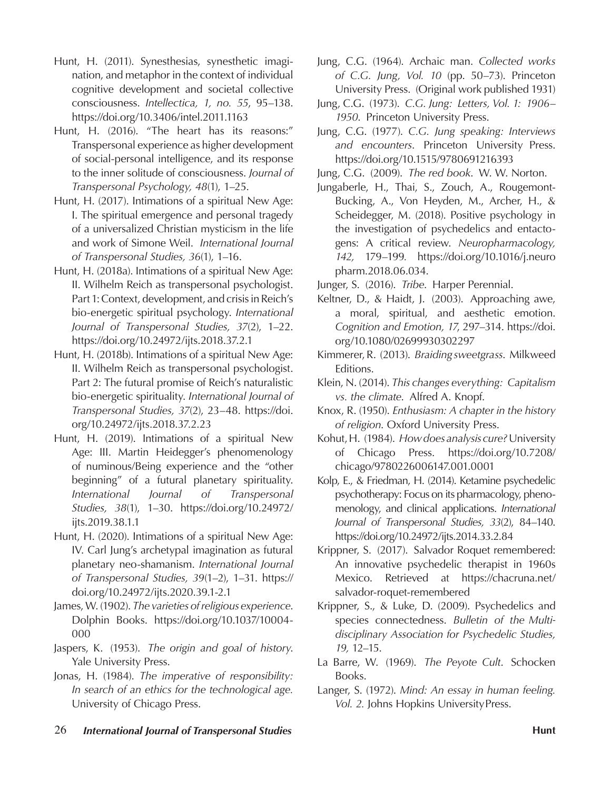- Hunt, H. (2011). Synesthesias, synesthetic imagination, and metaphor in the context of individual cognitive development and societal collective consciousness. *Intellectica, 1, no. 55*, 95–138. https://doi.org/10.3406/intel.2011.1163
- Hunt, H. (2016). "The heart has its reasons:" Transpersonal experience as higher development of social-personal intelligence, and its response to the inner solitude of consciousness. *Journal of Transpersonal Psychology, 48*(1), 1–25.
- Hunt, H. (2017). Intimations of a spiritual New Age: I. The spiritual emergence and personal tragedy of a universalized Christian mysticism in the life and work of Simone Weil. *International Journal of Transpersonal Studies, 36*(1), 1–16.
- Hunt, H. (2018a). Intimations of a spiritual New Age: II. Wilhelm Reich as transpersonal psychologist. Part 1: Context, development, and crisis in Reich's bio-energetic spiritual psychology. *International Journal of Transpersonal Studies, 37*(2), 1–22. https://doi.org/10.24972/ijts.2018.37.2.1
- Hunt, H. (2018b). Intimations of a spiritual New Age: II. Wilhelm Reich as transpersonal psychologist. Part 2: The futural promise of Reich's naturalistic bio-energetic spirituality. *International Journal of Transpersonal Studies, 37*(2), 23–48. https://doi. org/10.24972/ijts.2018.37.2.23
- Hunt, H. (2019). Intimations of a spiritual New Age: III. Martin Heidegger's phenomenology of numinous/Being experience and the "other beginning" of a futural planetary spirituality. *International Journal of Transpersonal Studies, 38*(1), 1–30. https://doi.org/10.24972/ ijts.2019.38.1.1
- Hunt, H. (2020). Intimations of a spiritual New Age: IV. Carl Jung's archetypal imagination as futural planetary neo-shamanism. *International Journal of Transpersonal Studies, 39*(1–2), 1–31. https:// doi.org/10.24972/ijts.2020.39.1-2.1
- James, W. (1902). *The varieties of religious experience*. Dolphin Books. https://doi.org/10.1037/10004- 000
- Jaspers, K. (1953). *The origin and goal of history*. Yale University Press.
- Jonas, H. (1984). *The imperative of responsibility: In search of an ethics for the technological age.*  University of Chicago Press.
- Jung, C.G. (1964). Archaic man. *Collected works of C.G. Jung, Vol. 10* (pp. 50–73). Princeton University Press. (Original work published 1931)
- Jung, C.G. (1973). *C.G. Jung: Letters, Vol. 1: 1906 1950*. Princeton University Press.
- Jung, C.G. (1977). *C.G. Jung speaking: Interviews and encounters*. Princeton University Press. https://doi.org/10.1515/9780691216393

Jung, C.G. (2009). *The red book*. W. W. Norton.

Jungaberle, H., Thai, S., Zouch, A., Rougemont-Bucking, A., Von Heyden, M., Archer, H., & Scheidegger, M. (2018). Positive psychology in the investigation of psychedelics and entactogens: A critical review. *Neuropharmacology, 142,* 179–199*.* https://doi.org/10.1016/j.neuro pharm.2018.06.034.

Junger, S. (2016). *Tribe*. Harper Perennial.

- Keltner, D., & Haidt, J. (2003). Approaching awe, a moral, spiritual, and aesthetic emotion. *Cognition and Emotion, 17*, 297–314. https://doi. org/10.1080/02699930302297
- Kimmerer, R. (2013). *Braiding sweetgrass*. Milkweed Editions.
- Klein, N. (2014). *This changes everything: Capitalism vs. the climate*. Alfred A. Knopf.
- Knox, R. (1950). *Enthusiasm: A chapter in the history of religion*. Oxford University Press.
- Kohut, H. (1984). *How does analysis cure?* University of Chicago Press. https://doi.org/10.7208/ chicago/9780226006147.001.0001
- Kolp, E., & Friedman, H. (2014). Ketamine psychedelic psychotherapy: Focus on its pharmacology, phenomenology, and clinical applications. *International Journal of Transpersonal Studies, 33*(2), 84–140. https://doi.org/10.24972/ijts.2014.33.2.84
- Krippner, S. (2017). Salvador Roquet remembered: An innovative psychedelic therapist in 1960s Mexico. Retrieved at https://chacruna.net/ salvador-roquet-remembered
- Krippner, S., & Luke, D. (2009). Psychedelics and species connectedness. *Bulletin of the Multidisciplinary Association for Psychedelic Studies, 19,* 12–15.
- La Barre, W. (1969). *The Peyote Cult*. Schocken Books.
- Langer, S. (1972). *Mind: An essay in human feeling. Vol. 2.* Johns Hopkins University Press.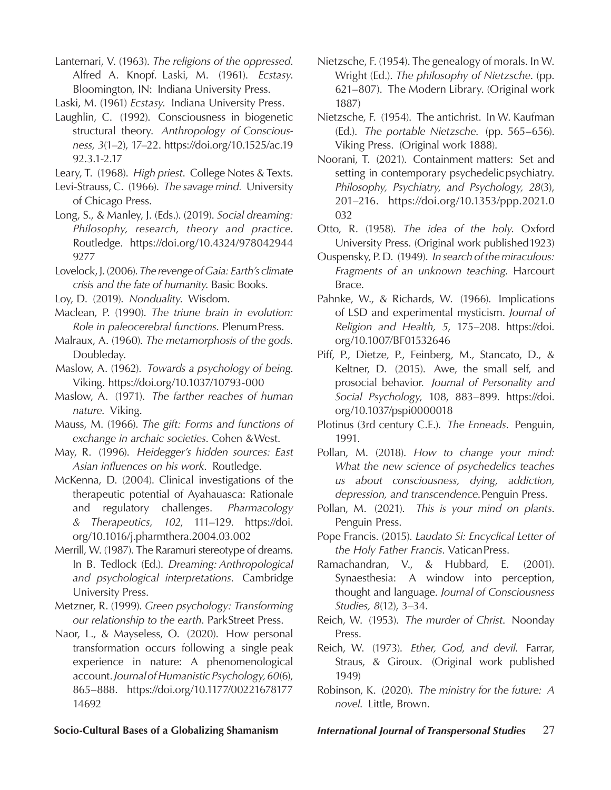Lanternari, V. (1963). *The religions of the oppressed*. Alfred A. Knopf. Laski, M. (1961). *Ecstasy*. Bloomington, IN: Indiana University Press.

Laski, M. (1961) *Ecstasy*. Indiana University Press.

- Laughlin, C. (1992). Consciousness in biogenetic structural theory. *Anthropology of Consciousness, 3*(1–2), 17–22. https://doi.org/10.1525/ac.19 92.3.1-2.17
- Leary, T. (1968). *High priest*. College Notes & Texts.
- Levi-Strauss, C. (1966). *The savage mind.* University of Chicago Press.
- Long, S., & Manley, J. (Eds.). (2019). *Social dreaming: Philosophy, research, theory and practice*. Routledge. https://doi.org/10.4324/978042944 9277
- Lovelock, J. (2006). *The revenge of Gaia: Earth's climate crisis and the fate of humanity*. Basic Books.
- Loy, D. (2019). *Nonduality*. Wisdom.
- Maclean, P. (1990). *The triune brain in evolution: Role in paleocerebral functions*. Plenum Press.
- Malraux, A. (1960). *The metamorphosis of the gods.*  Doubleday.
- Maslow, A. (1962). *Towards a psychology of being*. Viking. https://doi.org/10.1037/10793-000
- Maslow, A. (1971). *The farther reaches of human nature*. Viking.
- Mauss, M. (1966). *The gift: Forms and functions of exchange in archaic societies*. Cohen & West.
- May, R. (1996). *Heidegger's hidden sources: East Asian influences on his work*. Routledge.
- McKenna, D. (2004). Clinical investigations of the therapeutic potential of Ayahauasca: Rationale and regulatory challenges. *Pharmacology & Therapeutics, 102*, 111–129. https://doi. org/10.1016/j.pharmthera.2004.03.002
- Merrill, W. (1987). The Raramuri stereotype of dreams. In B. Tedlock (Ed.). *Dreaming: Anthropological and psychological interpretations*. Cambridge University Press.
- Metzner, R. (1999). *Green psychology: Transforming our relationship to the earth*. Park Street Press.
- Naor, L., & Mayseless, O. (2020). How personal transformation occurs following a single peak experience in nature: A phenomenological account. *Journal of Humanistic Psychology, 60*(6), 865–888. https://doi.org/10.1177/00221678177 14692
- Nietzsche, F. (1954). The genealogy of morals. In W. Wright (Ed.). *The philosophy of Nietzsche*. (pp. 621–807). The Modern Library. (Original work 1887)
- Nietzsche, F. (1954). The antichrist. In W. Kaufman (Ed.). *The portable Nietzsche*. (pp. 565–656). Viking Press. (Original work 1888).
- Noorani, T. (2021). Containment matters: Set and setting in contemporary psychedelic psychiatry. *Philosophy, Psychiatry, and Psychology, 28*(3), 201–216. https://doi.org/10.1353/ppp.2021.0 032
- Otto, R. (1958). *The idea of the holy*. Oxford University Press. (Original work published 1923)
- Ouspensky, P. D. (1949). *In search of the miraculous: Fragments of an unknown teaching*. Harcourt Brace.
- Pahnke, W., & Richards, W. (1966). Implications of LSD and experimental mysticism. *Journal of Religion and Health, 5*, 175–208. https://doi. org/10.1007/BF01532646
- Piff, P., Dietze, P., Feinberg, M., Stancato, D., & Keltner, D. (2015). Awe, the small self, and prosocial behavior*. Journal of Personality and Social Psychology*, 108, 883–899. https://doi. org/10.1037/pspi0000018
- Plotinus (3rd century C.E.). *The Enneads*. Penguin, 1991.
- Pollan, M. (2018). *How to change your mind: What the new science of psychedelics teaches us about consciousness, dying, addiction, depression, and transcendence*. Penguin Press.
- Pollan, M. (2021). *This is your mind on plants*. Penguin Press.
- Pope Francis. (2015). *Laudato Si: Encyclical Letter of the Holy Father Francis*. Vatican Press.
- Ramachandran, V., & Hubbard, E. (2001). Synaesthesia: A window into perception, thought and language. *Journal of Consciousness Studies, 8*(12), 3–34.
- Reich, W. (1953). *The murder of Christ*. Noonday Press.
- Reich, W. (1973). *Ether, God, and devil*. Farrar, Straus, & Giroux. (Original work published 1949)
- Robinson, K. (2020). *The ministry for the future: A novel*. Little, Brown.

**Socio-Cultural Bases of a Globalizing Shamanism** *International Journal of Transpersonal Studies* 27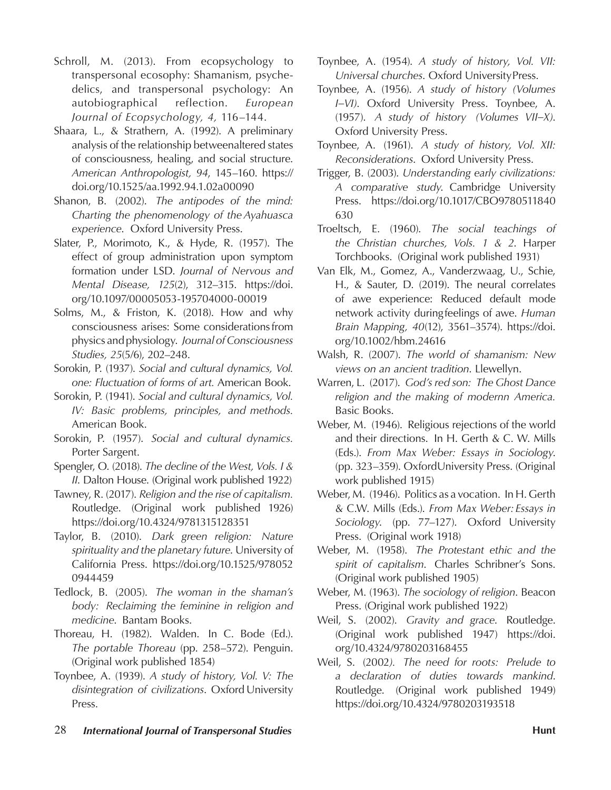- Schroll, M. (2013). From ecopsychology to transpersonal ecosophy: Shamanism, psychedelics, and transpersonal psychology: An autobiographical reflection. *European Journal of Ecopsychology, 4,* 116–144.
- Shaara, L., & Strathern, A. (1992). A preliminary analysis of the relationship between altered states of consciousness, healing, and social structure. *American Anthropologist, 94*, 145–160. https:// doi.org/10.1525/aa.1992.94.1.02a00090
- Shanon, B. (2002). *The antipodes of the mind: Charting the phenomenology of the Ayahuasca experience*. Oxford University Press.
- Slater, P., Morimoto, K., & Hyde, R. (1957). The effect of group administration upon symptom formation under LSD. *Journal of Nervous and Mental Disease, 125*(2), 312–315. https://doi. org/10.1097/00005053-195704000-00019
- Solms, M., & Friston, K. (2018). How and why consciousness arises: Some considerations from physics and physiology. *Journal of Consciousness Studies, 25*(5/6), 202–248.
- Sorokin, P. (1937). *Social and cultural dynamics, Vol. one: Fluctuation of forms of art.* American Book.
- Sorokin, P. (1941). *Social and cultural dynamics, Vol. IV: Basic problems, principles, and methods.*  American Book.
- Sorokin, P. (1957). *Social and cultural dynamics.*  Porter Sargent.
- Spengler, O. (2018). *The decline of the West, Vols. I & II*. Dalton House. (Original work published 1922)
- Tawney, R. (2017). *Religion and the rise of capitalism.*  Routledge. (Original work published 1926) https://doi.org/10.4324/9781315128351
- Taylor, B. (2010). *Dark green religion: Nature spirituality and the planetary future*. University of California Press. https://doi.org/10.1525/978052 0944459
- Tedlock, B. (2005). *The woman in the shaman's body: Reclaiming the feminine in religion and medicine*. Bantam Books.
- Thoreau, H. (1982). Walden. In C. Bode (Ed.). *The portable Thoreau* (pp. 258–572). Penguin. (Original work published 1854)
- Toynbee, A. (1939). *A study of history, Vol. V: The disintegration of civilizations*. Oxford University Press.
- Toynbee, A. (1954). *A study of history, Vol. VII: Universal churches*. Oxford University Press.
- Toynbee, A. (1956). *A study of history (Volumes I–VI)*. Oxford University Press. Toynbee, A. (1957). *A study of history (Volumes VII–X)*. Oxford University Press.
- Toynbee, A. (1961). *A study of history, Vol. XII: Reconsiderations*. Oxford University Press.
- Trigger, B. (2003). *Understanding early civilizations: A comparative study*. Cambridge University Press. https://doi.org/10.1017/CBO9780511840 630
- Troeltsch, E. (1960). *The social teachings of the Christian churches, Vols. 1 & 2*. Harper Torchbooks. (Original work published 1931)
- Van Elk, M., Gomez, A., Vanderzwaag, U., Schie, H., & Sauter, D. (2019). The neural correlates of awe experience: Reduced default mode network activity during feelings of awe. *Human Brain Mapping, 40*(12), 3561–3574). https://doi. org/10.1002/hbm.24616
- Walsh, R. (2007). *The world of shamanism: New views on an ancient tradition*. Llewellyn.
- Warren, L. (2017). *God's red son: The Ghost Dance religion and the making of modernn America.*  Basic Books.
- Weber, M. (1946). Religious rejections of the world and their directions. In H. Gerth & C. W. Mills (Eds.). *From Max Weber: Essays in Sociology*. (pp. 323–359). Oxford University Press. (Original work published 1915)
- Weber, M. (1946). Politics as a vocation. In H. Gerth & C.W. Mills (Eds.). *From Max Weber: Essays in Sociology*. (pp. 77–127). Oxford University Press. (Original work 1918)
- Weber, M. (1958). *The Protestant ethic and the spirit of capitalism*. Charles Schribner's Sons. (Original work published 1905)
- Weber, M. (1963). *The sociology of religion*. Beacon Press. (Original work published 1922)
- Weil, S. (2002). *Gravity and grace*. Routledge. (Original work published 1947) https://doi. org/10.4324/9780203168455
- Weil, S. (2002*). The need for roots: Prelude to a declaration of duties towards mankind*. Routledge. (Original work published 1949) https://doi.org/10.4324/9780203193518